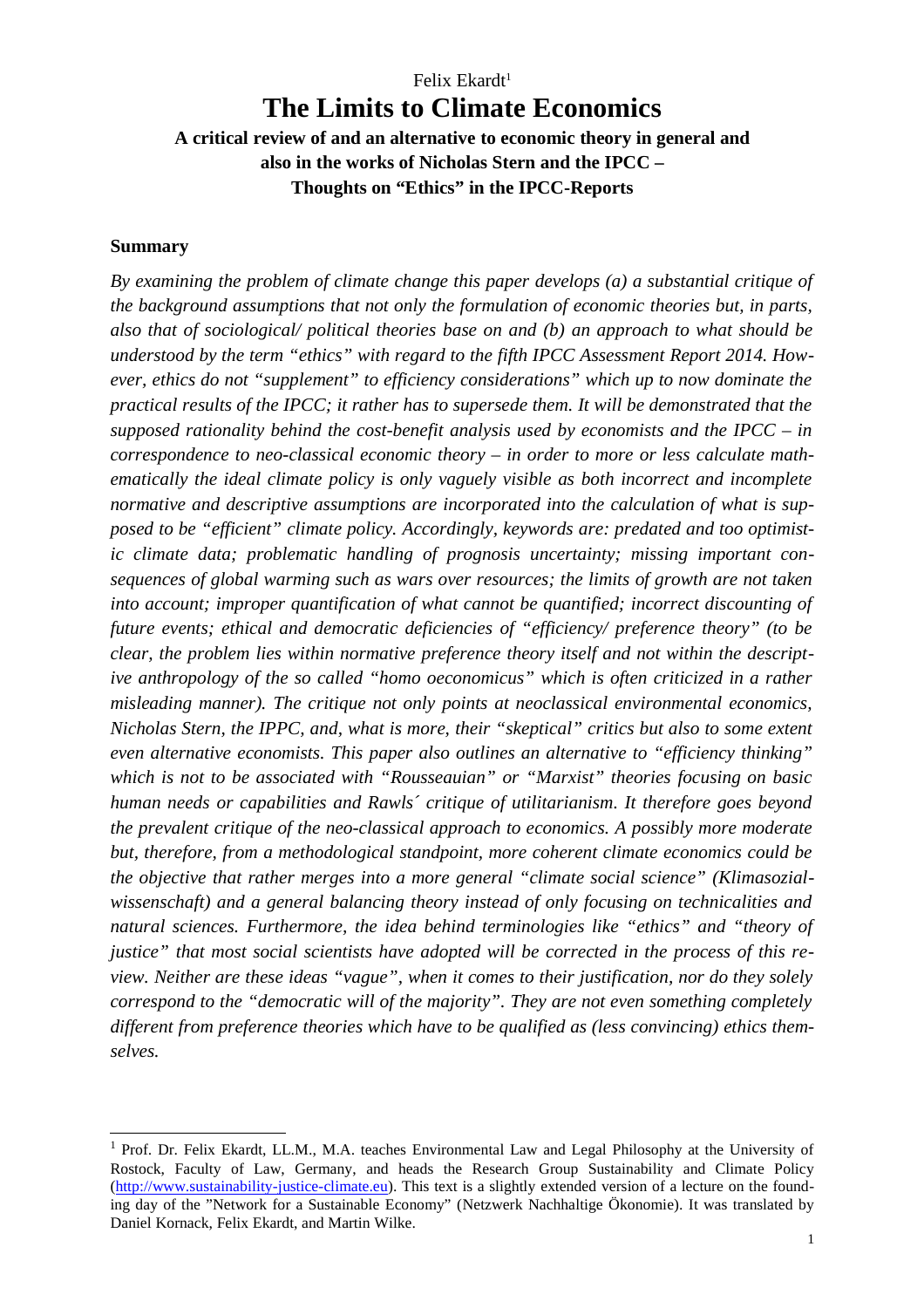# Felix Ekardt<sup>1</sup> **The Limits to Climate Economics**

**A critical review of and an alternative to economic theory in general and also in the works of Nicholas Stern and the IPCC – Thoughts on "Ethics" in the IPCC-Reports**

#### **Summary**

*By examining the problem of climate change this paper develops (a) a substantial critique of the background assumptions that not only the formulation of economic theories but, in parts, also that of sociological/ political theories base on and (b) an approach to what should be understood by the term "ethics" with regard to the fifth IPCC Assessment Report 2014. However, ethics do not "supplement" to efficiency considerations" which up to now dominate the practical results of the IPCC; it rather has to supersede them. It will be demonstrated that the supposed rationality behind the cost-benefit analysis used by economists and the IPCC – in correspondence to neo-classical economic theory – in order to more or less calculate mathematically the ideal climate policy is only vaguely visible as both incorrect and incomplete normative and descriptive assumptions are incorporated into the calculation of what is supposed to be "efficient" climate policy. Accordingly, keywords are: predated and too optimistic climate data; problematic handling of prognosis uncertainty; missing important consequences of global warming such as wars over resources; the limits of growth are not taken into account; improper quantification of what cannot be quantified; incorrect discounting of future events; ethical and democratic deficiencies of "efficiency/ preference theory" (to be clear, the problem lies within normative preference theory itself and not within the descriptive anthropology of the so called "homo oeconomicus" which is often criticized in a rather misleading manner). The critique not only points at neoclassical environmental economics, Nicholas Stern, the IPPC, and, what is more, their "skeptical" critics but also to some extent even alternative economists. This paper also outlines an alternative to "efficiency thinking" which is not to be associated with "Rousseauian" or "Marxist" theories focusing on basic human needs or capabilities and Rawls´ critique of utilitarianism. It therefore goes beyond the prevalent critique of the neo-classical approach to economics. A possibly more moderate but, therefore, from a methodological standpoint, more coherent climate economics could be the objective that rather merges into a more general "climate social science" (Klimasozialwissenschaft) and a general balancing theory instead of only focusing on technicalities and natural sciences. Furthermore, the idea behind terminologies like "ethics" and "theory of justice" that most social scientists have adopted will be corrected in the process of this review. Neither are these ideas "vague", when it comes to their justification, nor do they solely correspond to the "democratic will of the majority". They are not even something completely different from preference theories which have to be qualified as (less convincing) ethics themselves.* 

<sup>&</sup>lt;sup>1</sup> Prof. Dr. Felix Ekardt, LL.M., M.A. teaches Environmental Law and Legal Philosophy at the University of Rostock, Faculty of Law, Germany, and heads the Research Group Sustainability and Climate Policy (http://www.sustainability-justice-climate.eu). This text is a slightly extended version of a lecture on the founding day of the "Network for a Sustainable Economy" (Netzwerk Nachhaltige Ökonomie). It was translated by Daniel Kornack, Felix Ekardt, and Martin Wilke.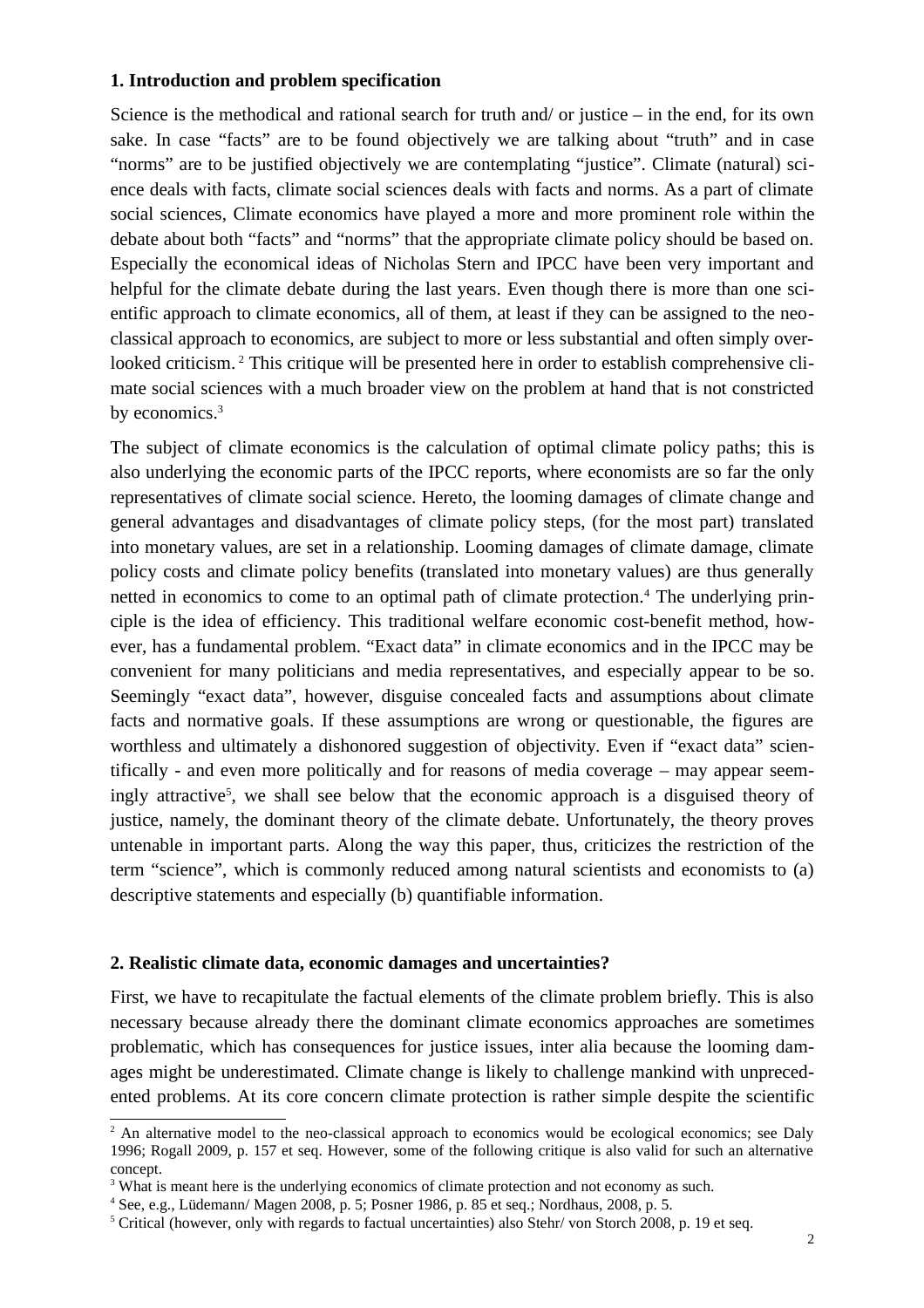### **1. Introduction and problem specification**

Science is the methodical and rational search for truth and/ or justice – in the end, for its own sake. In case "facts" are to be found objectively we are talking about "truth" and in case "norms" are to be justified objectively we are contemplating "justice". Climate (natural) science deals with facts, climate social sciences deals with facts and norms. As a part of climate social sciences, Climate economics have played a more and more prominent role within the debate about both "facts" and "norms" that the appropriate climate policy should be based on. Especially the economical ideas of Nicholas Stern and IPCC have been very important and helpful for the climate debate during the last years. Even though there is more than one scientific approach to climate economics, all of them, at least if they can be assigned to the neoclassical approach to economics, are subject to more or less substantial and often simply overlooked criticism. <sup>2</sup> This critique will be presented here in order to establish comprehensive climate social sciences with a much broader view on the problem at hand that is not constricted by economics.<sup>3</sup>

The subject of climate economics is the calculation of optimal climate policy paths; this is also underlying the economic parts of the IPCC reports, where economists are so far the only representatives of climate social science. Hereto, the looming damages of climate change and general advantages and disadvantages of climate policy steps, (for the most part) translated into monetary values, are set in a relationship. Looming damages of climate damage, climate policy costs and climate policy benefits (translated into monetary values) are thus generally netted in economics to come to an optimal path of climate protection.<sup>4</sup> The underlying principle is the idea of efficiency. This traditional welfare economic cost-benefit method, however, has a fundamental problem. "Exact data" in climate economics and in the IPCC may be convenient for many politicians and media representatives, and especially appear to be so. Seemingly "exact data", however, disguise concealed facts and assumptions about climate facts and normative goals. If these assumptions are wrong or questionable, the figures are worthless and ultimately a dishonored suggestion of objectivity. Even if "exact data" scientifically - and even more politically and for reasons of media coverage – may appear seemingly attractive<sup>5</sup>, we shall see below that the economic approach is a disguised theory of justice, namely, the dominant theory of the climate debate. Unfortunately, the theory proves untenable in important parts. Along the way this paper, thus, criticizes the restriction of the term "science", which is commonly reduced among natural scientists and economists to (a) descriptive statements and especially (b) quantifiable information.

### **2. Realistic climate data, economic damages and uncertainties?**

First, we have to recapitulate the factual elements of the climate problem briefly. This is also necessary because already there the dominant climate economics approaches are sometimes problematic, which has consequences for justice issues, inter alia because the looming damages might be underestimated. Climate change is likely to challenge mankind with unprecedented problems. At its core concern climate protection is rather simple despite the scientific

<sup>&</sup>lt;sup>2</sup> An alternative model to the neo-classical approach to economics would be ecological economics; see Daly 1996; Rogall 2009, p. 157 et seq. However, some of the following critique is also valid for such an alternative concept.

<sup>&</sup>lt;sup>3</sup> What is meant here is the underlying economics of climate protection and not economy as such.

<sup>4</sup> See, e.g., Lüdemann/ Magen 2008, p. 5; Posner 1986, p. 85 et seq.; Nordhaus, 2008, p. 5.

<sup>&</sup>lt;sup>5</sup> Critical (however, only with regards to factual uncertainties) also Stehr/von Storch 2008, p. 19 et seq.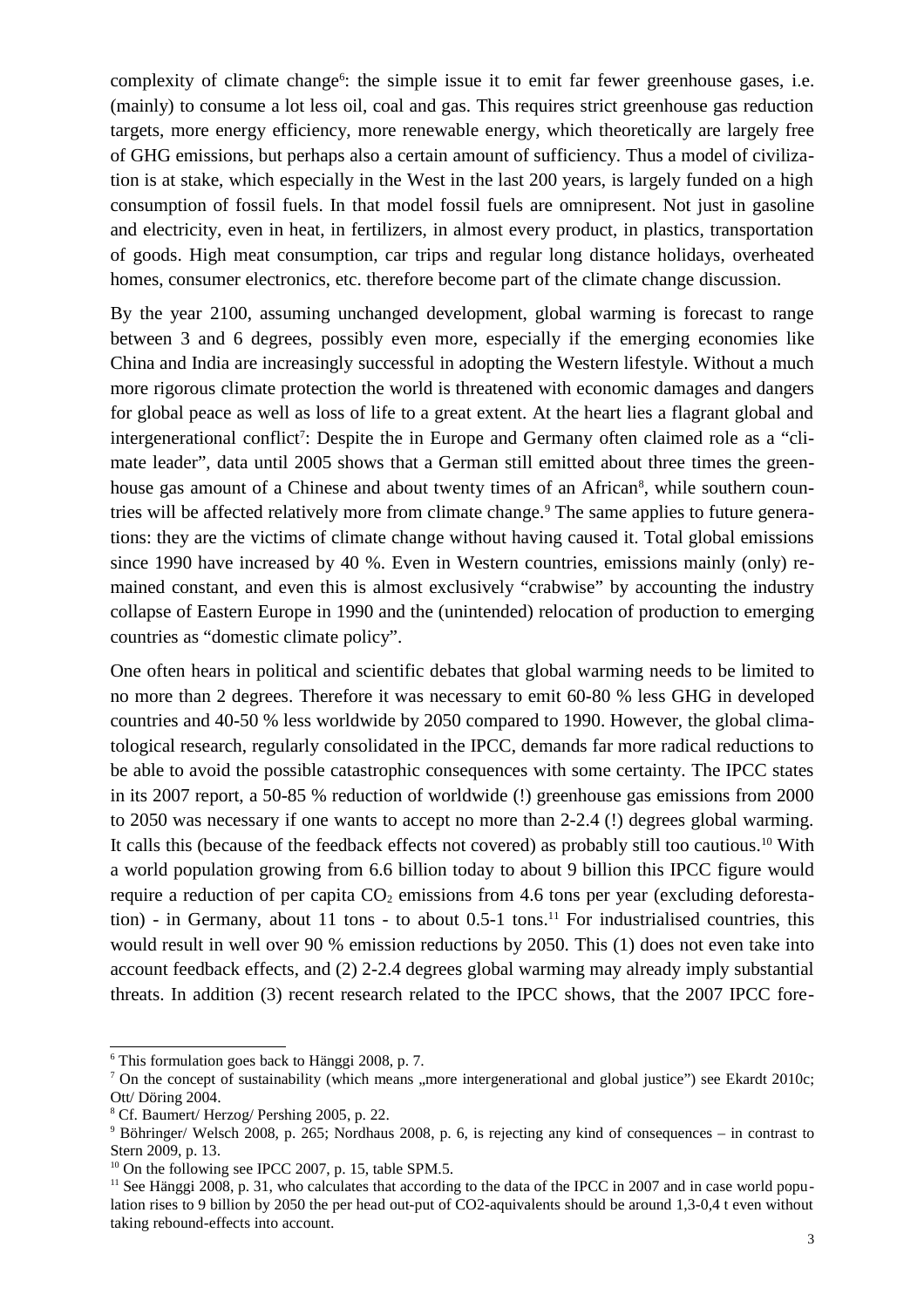complexity of climate change<sup>6</sup>: the simple issue it to emit far fewer greenhouse gases, i.e. (mainly) to consume a lot less oil, coal and gas. This requires strict greenhouse gas reduction targets, more energy efficiency, more renewable energy, which theoretically are largely free of GHG emissions, but perhaps also a certain amount of sufficiency. Thus a model of civilization is at stake, which especially in the West in the last 200 years, is largely funded on a high consumption of fossil fuels. In that model fossil fuels are omnipresent. Not just in gasoline and electricity, even in heat, in fertilizers, in almost every product, in plastics, transportation of goods. High meat consumption, car trips and regular long distance holidays, overheated homes, consumer electronics, etc. therefore become part of the climate change discussion.

By the year 2100, assuming unchanged development, global warming is forecast to range between 3 and 6 degrees, possibly even more, especially if the emerging economies like China and India are increasingly successful in adopting the Western lifestyle. Without a much more rigorous climate protection the world is threatened with economic damages and dangers for global peace as well as loss of life to a great extent. At the heart lies a flagrant global and intergenerational conflict<sup>7</sup>: Despite the in Europe and Germany often claimed role as a "climate leader", data until 2005 shows that a German still emitted about three times the greenhouse gas amount of a Chinese and about twenty times of an African<sup>8</sup>, while southern countries will be affected relatively more from climate change.<sup>9</sup> The same applies to future generations: they are the victims of climate change without having caused it. Total global emissions since 1990 have increased by 40 %. Even in Western countries, emissions mainly (only) remained constant, and even this is almost exclusively "crabwise" by accounting the industry collapse of Eastern Europe in 1990 and the (unintended) relocation of production to emerging countries as "domestic climate policy".

One often hears in political and scientific debates that global warming needs to be limited to no more than 2 degrees. Therefore it was necessary to emit 60-80 % less GHG in developed countries and 40-50 % less worldwide by 2050 compared to 1990. However, the global climatological research, regularly consolidated in the IPCC, demands far more radical reductions to be able to avoid the possible catastrophic consequences with some certainty. The IPCC states in its 2007 report, a 50-85 % reduction of worldwide (!) greenhouse gas emissions from 2000 to 2050 was necessary if one wants to accept no more than 2-2.4 (!) degrees global warming. It calls this (because of the feedback effects not covered) as probably still too cautious.<sup>10</sup> With a world population growing from 6.6 billion today to about 9 billion this IPCC figure would require a reduction of per capita  $CO<sub>2</sub>$  emissions from 4.6 tons per year (excluding deforestation) - in Germany, about 11 tons - to about  $0.5$ -1 tons.<sup>11</sup> For industrialised countries, this would result in well over 90 % emission reductions by 2050. This (1) does not even take into account feedback effects, and (2) 2-2.4 degrees global warming may already imply substantial threats. In addition (3) recent research related to the IPCC shows, that the 2007 IPCC fore-

<sup>6</sup> This formulation goes back to Hänggi 2008, p. 7.

<sup>&</sup>lt;sup>7</sup> On the concept of sustainability (which means ,,more intergenerational and global justice") see Ekardt 2010c; Ott/ Döring 2004.

<sup>8</sup> Cf. Baumert/ Herzog/ Pershing 2005, p. 22.

<sup>9</sup> Böhringer/ Welsch 2008, p. 265; Nordhaus 2008, p. 6, is rejecting any kind of consequences – in contrast to Stern 2009, p. 13.

 $10$  On the following see IPCC 2007, p. 15, table SPM.5.

<sup>&</sup>lt;sup>11</sup> See Hänggi 2008, p. 31, who calculates that according to the data of the IPCC in 2007 and in case world population rises to 9 billion by 2050 the per head out-put of CO2-aquivalents should be around 1,3-0,4 t even without taking rebound-effects into account.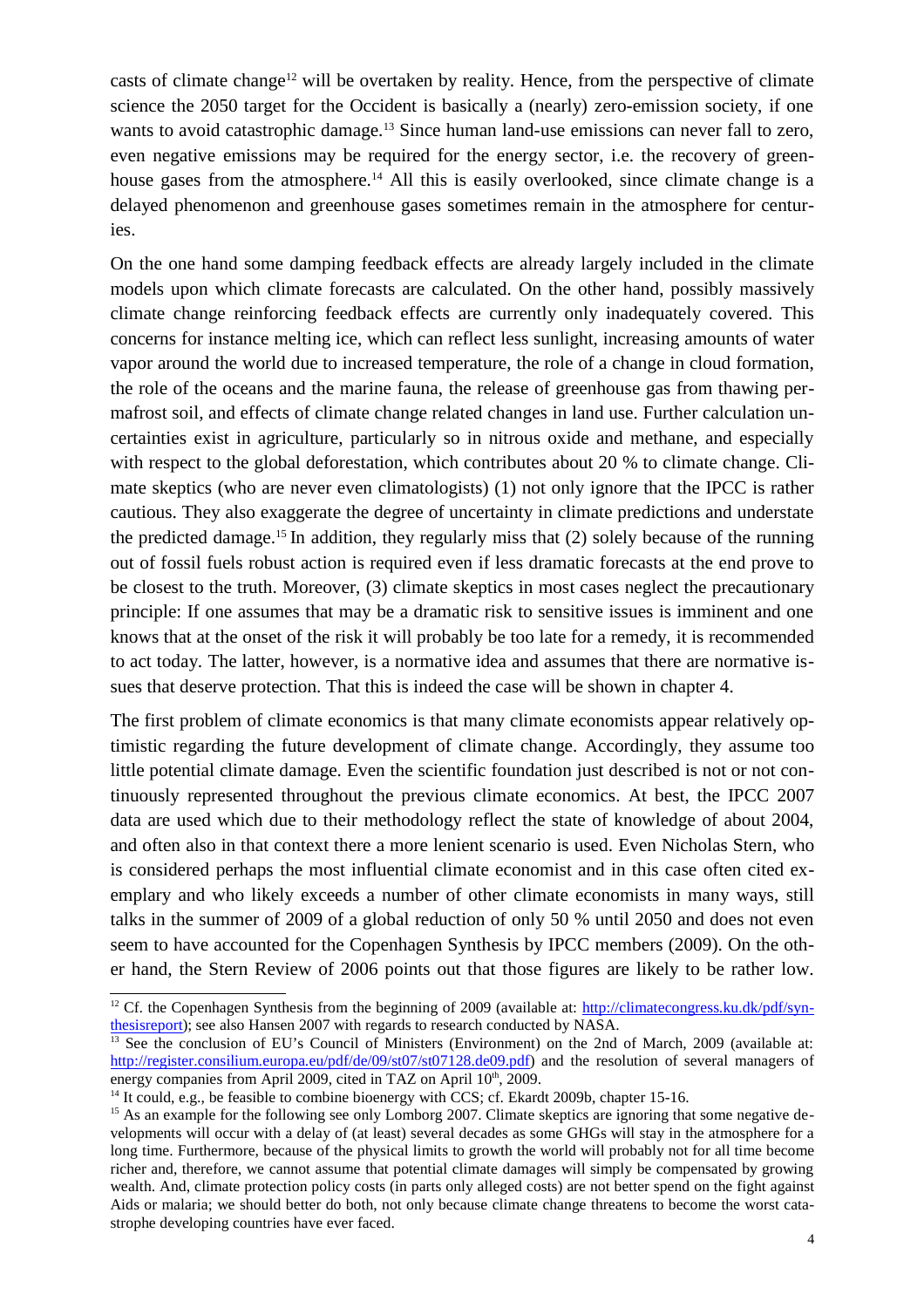casts of climate change<sup>12</sup> will be overtaken by reality. Hence, from the perspective of climate science the 2050 target for the Occident is basically a (nearly) zero-emission society, if one wants to avoid catastrophic damage.<sup>13</sup> Since human land-use emissions can never fall to zero, even negative emissions may be required for the energy sector, i.e. the recovery of greenhouse gases from the atmosphere.<sup>14</sup> All this is easily overlooked, since climate change is a delayed phenomenon and greenhouse gases sometimes remain in the atmosphere for centuries.

On the one hand some damping feedback effects are already largely included in the climate models upon which climate forecasts are calculated. On the other hand, possibly massively climate change reinforcing feedback effects are currently only inadequately covered. This concerns for instance melting ice, which can reflect less sunlight, increasing amounts of water vapor around the world due to increased temperature, the role of a change in cloud formation, the role of the oceans and the marine fauna, the release of greenhouse gas from thawing permafrost soil, and effects of climate change related changes in land use. Further calculation uncertainties exist in agriculture, particularly so in nitrous oxide and methane, and especially with respect to the global deforestation, which contributes about 20 % to climate change. Climate skeptics (who are never even climatologists) (1) not only ignore that the IPCC is rather cautious. They also exaggerate the degree of uncertainty in climate predictions and understate the predicted damage.<sup>15</sup> In addition, they regularly miss that (2) solely because of the running out of fossil fuels robust action is required even if less dramatic forecasts at the end prove to be closest to the truth. Moreover, (3) climate skeptics in most cases neglect the precautionary principle: If one assumes that may be a dramatic risk to sensitive issues is imminent and one knows that at the onset of the risk it will probably be too late for a remedy, it is recommended to act today. The latter, however, is a normative idea and assumes that there are normative issues that deserve protection. That this is indeed the case will be shown in chapter 4.

The first problem of climate economics is that many climate economists appear relatively optimistic regarding the future development of climate change. Accordingly, they assume too little potential climate damage. Even the scientific foundation just described is not or not continuously represented throughout the previous climate economics. At best, the IPCC 2007 data are used which due to their methodology reflect the state of knowledge of about 2004, and often also in that context there a more lenient scenario is used. Even Nicholas Stern, who is considered perhaps the most influential climate economist and in this case often cited exemplary and who likely exceeds a number of other climate economists in many ways, still talks in the summer of 2009 of a global reduction of only 50 % until 2050 and does not even seem to have accounted for the Copenhagen Synthesis by IPCC members (2009). On the other hand, the Stern Review of 2006 points out that those figures are likely to be rather low.

<sup>&</sup>lt;sup>12</sup> Cf. the Copenhagen Synthesis from the beginning of 2009 (available at:  $\frac{http://climatecongress.ku.dk/pdf/syn$ thesisreport); see also Hansen 2007 with regards to research conducted by NASA.

<sup>&</sup>lt;sup>13</sup> See the conclusion of EU's Council of Ministers (Environment) on the 2nd of March, 2009 (available at: http://register.consilium.europa.eu/pdf/de/09/st07/st07128.de09.pdf) and the resolution of several managers of energy companies from April 2009, cited in TAZ on April 10<sup>th</sup>, 2009.

 $14$  It could, e.g., be feasible to combine bioenergy with CCS; cf. Ekardt 2009b, chapter 15-16.

<sup>&</sup>lt;sup>15</sup> As an example for the following see only Lomborg 2007. Climate skeptics are ignoring that some negative developments will occur with a delay of (at least) several decades as some GHGs will stay in the atmosphere for a long time. Furthermore, because of the physical limits to growth the world will probably not for all time become richer and, therefore, we cannot assume that potential climate damages will simply be compensated by growing wealth. And, climate protection policy costs (in parts only alleged costs) are not better spend on the fight against Aids or malaria; we should better do both, not only because climate change threatens to become the worst catastrophe developing countries have ever faced.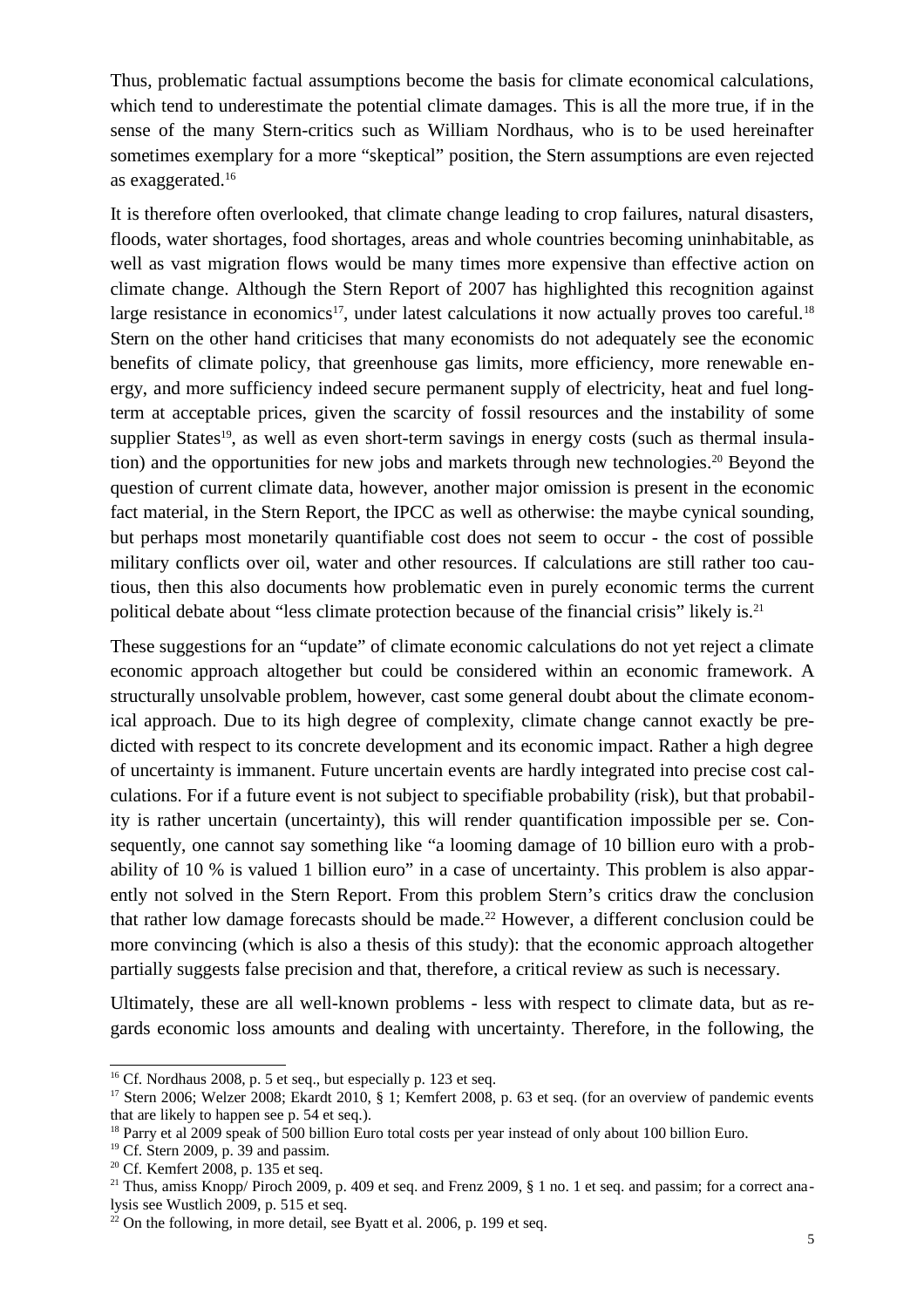Thus, problematic factual assumptions become the basis for climate economical calculations, which tend to underestimate the potential climate damages. This is all the more true, if in the sense of the many Stern-critics such as William Nordhaus, who is to be used hereinafter sometimes exemplary for a more "skeptical" position, the Stern assumptions are even rejected as exaggerated.<sup>16</sup>

It is therefore often overlooked, that climate change leading to crop failures, natural disasters, floods, water shortages, food shortages, areas and whole countries becoming uninhabitable, as well as vast migration flows would be many times more expensive than effective action on climate change. Although the Stern Report of 2007 has highlighted this recognition against large resistance in economics<sup>17</sup>, under latest calculations it now actually proves too careful.<sup>18</sup> Stern on the other hand criticises that many economists do not adequately see the economic benefits of climate policy, that greenhouse gas limits, more efficiency, more renewable energy, and more sufficiency indeed secure permanent supply of electricity, heat and fuel longterm at acceptable prices, given the scarcity of fossil resources and the instability of some supplier States<sup>19</sup>, as well as even short-term savings in energy costs (such as thermal insulation) and the opportunities for new jobs and markets through new technologies.<sup>20</sup> Beyond the question of current climate data, however, another major omission is present in the economic fact material, in the Stern Report, the IPCC as well as otherwise: the maybe cynical sounding, but perhaps most monetarily quantifiable cost does not seem to occur - the cost of possible military conflicts over oil, water and other resources. If calculations are still rather too cautious, then this also documents how problematic even in purely economic terms the current political debate about "less climate protection because of the financial crisis" likely is.<sup>21</sup>

These suggestions for an "update" of climate economic calculations do not yet reject a climate economic approach altogether but could be considered within an economic framework. A structurally unsolvable problem, however, cast some general doubt about the climate economical approach. Due to its high degree of complexity, climate change cannot exactly be predicted with respect to its concrete development and its economic impact. Rather a high degree of uncertainty is immanent. Future uncertain events are hardly integrated into precise cost calculations. For if a future event is not subject to specifiable probability (risk), but that probability is rather uncertain (uncertainty), this will render quantification impossible per se. Consequently, one cannot say something like "a looming damage of 10 billion euro with a probability of 10 % is valued 1 billion euro" in a case of uncertainty. This problem is also apparently not solved in the Stern Report. From this problem Stern's critics draw the conclusion that rather low damage forecasts should be made.<sup>22</sup> However, a different conclusion could be more convincing (which is also a thesis of this study): that the economic approach altogether partially suggests false precision and that, therefore, a critical review as such is necessary.

Ultimately, these are all well-known problems - less with respect to climate data, but as regards economic loss amounts and dealing with uncertainty. Therefore, in the following, the

<sup>&</sup>lt;sup>16</sup> Cf. Nordhaus 2008, p. 5 et seq., but especially p. 123 et seq.

<sup>&</sup>lt;sup>17</sup> Stern 2006; Welzer 2008; Ekardt 2010, § 1; Kemfert 2008, p. 63 et seq. (for an overview of pandemic events that are likely to happen see p. 54 et seq.).

<sup>&</sup>lt;sup>18</sup> Parry et al 2009 speak of 500 billion Euro total costs per year instead of only about 100 billion Euro.

<sup>&</sup>lt;sup>19</sup> Cf. Stern 2009, p. 39 and passim.

 $20^{\circ}$  Cf. Kemfert 2008, p. 135 et seq.

<sup>&</sup>lt;sup>21</sup> Thus, amiss Knopp/ Piroch 2009, p. 409 et seq. and Frenz 2009, § 1 no. 1 et seq. and passim; for a correct analysis see Wustlich 2009, p. 515 et seq.

 $2^{2}$  On the following, in more detail, see Byatt et al. 2006, p. 199 et seq.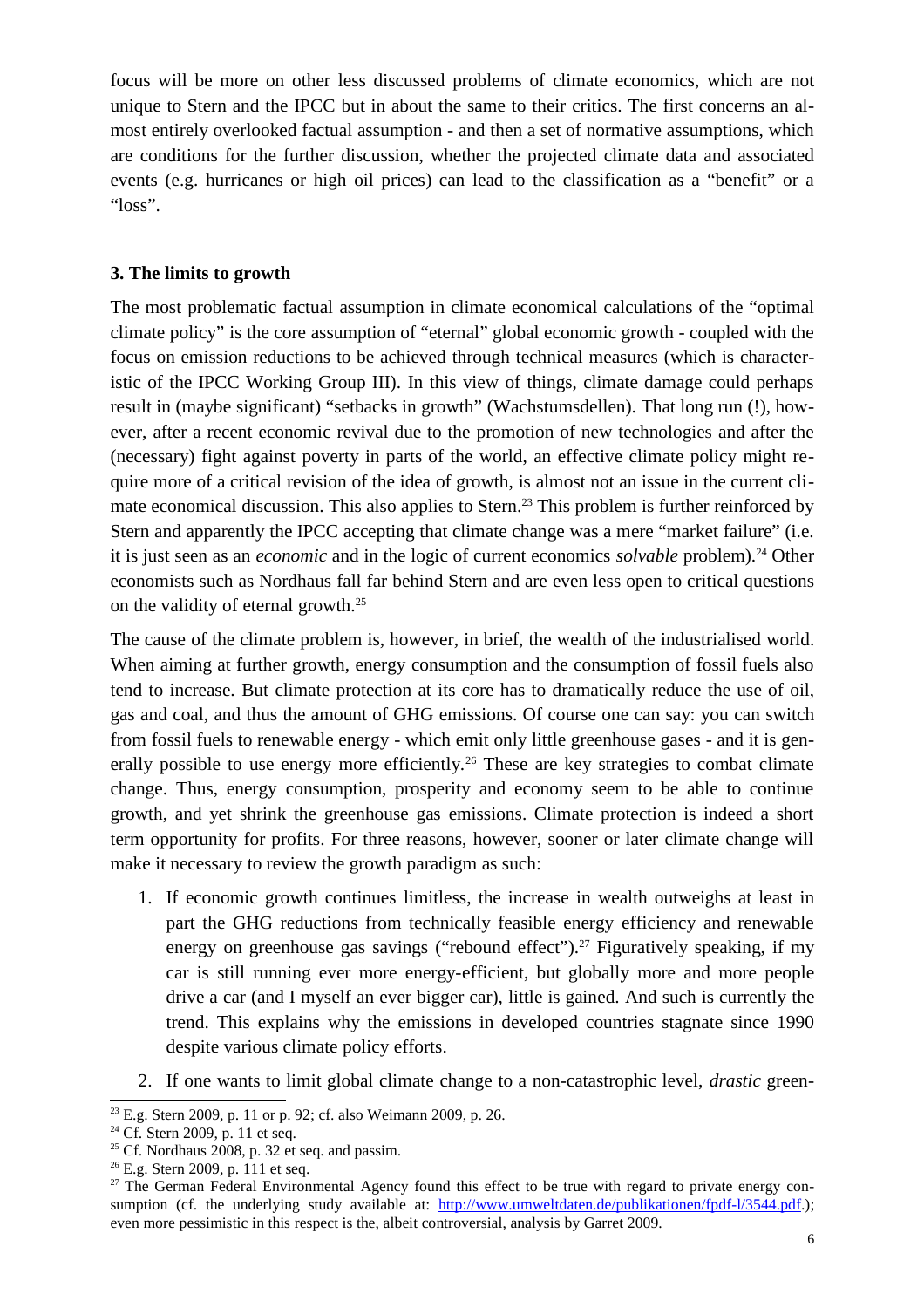focus will be more on other less discussed problems of climate economics, which are not unique to Stern and the IPCC but in about the same to their critics. The first concerns an almost entirely overlooked factual assumption - and then a set of normative assumptions, which are conditions for the further discussion, whether the projected climate data and associated events (e.g. hurricanes or high oil prices) can lead to the classification as a "benefit" or a "loss".

### **3. The limits to growth**

The most problematic factual assumption in climate economical calculations of the "optimal climate policy" is the core assumption of "eternal" global economic growth - coupled with the focus on emission reductions to be achieved through technical measures (which is characteristic of the IPCC Working Group III). In this view of things, climate damage could perhaps result in (maybe significant) "setbacks in growth" (Wachstumsdellen). That long run (!), however, after a recent economic revival due to the promotion of new technologies and after the (necessary) fight against poverty in parts of the world, an effective climate policy might require more of a critical revision of the idea of growth, is almost not an issue in the current climate economical discussion. This also applies to Stern.<sup>23</sup> This problem is further reinforced by Stern and apparently the IPCC accepting that climate change was a mere "market failure" (i.e. it is just seen as an *economic* and in the logic of current economics *solvable* problem).<sup>24</sup> Other economists such as Nordhaus fall far behind Stern and are even less open to critical questions on the validity of eternal growth.<sup>25</sup>

The cause of the climate problem is, however, in brief, the wealth of the industrialised world. When aiming at further growth, energy consumption and the consumption of fossil fuels also tend to increase. But climate protection at its core has to dramatically reduce the use of oil, gas and coal, and thus the amount of GHG emissions. Of course one can say: you can switch from fossil fuels to renewable energy - which emit only little greenhouse gases - and it is generally possible to use energy more efficiently.<sup>26</sup> These are key strategies to combat climate change. Thus, energy consumption, prosperity and economy seem to be able to continue growth, and yet shrink the greenhouse gas emissions. Climate protection is indeed a short term opportunity for profits. For three reasons, however, sooner or later climate change will make it necessary to review the growth paradigm as such:

- 1. If economic growth continues limitless, the increase in wealth outweighs at least in part the GHG reductions from technically feasible energy efficiency and renewable energy on greenhouse gas savings ("rebound effect").<sup>27</sup> Figuratively speaking, if my car is still running ever more energy-efficient, but globally more and more people drive a car (and I myself an ever bigger car), little is gained. And such is currently the trend. This explains why the emissions in developed countries stagnate since 1990 despite various climate policy efforts.
- 2. If one wants to limit global climate change to a non-catastrophic level, *drastic* green-

<sup>&</sup>lt;sup>23</sup> E.g. Stern 2009, p. 11 or p. 92; cf. also Weimann 2009, p. 26.

<sup>&</sup>lt;sup>24</sup> Cf. Stern 2009, p. 11 et seq.

 $25$  Cf. Nordhaus 2008, p. 32 et seq. and passim.

 $26$  E.g. Stern 2009, p. 111 et seq.

 $27$  The German Federal Environmental Agency found this effect to be true with regard to private energy consumption (cf. the underlying study available at: http://www.umweltdaten.de/publikationen/fpdf-l/3544.pdf.); even more pessimistic in this respect is the, albeit controversial, analysis by Garret 2009.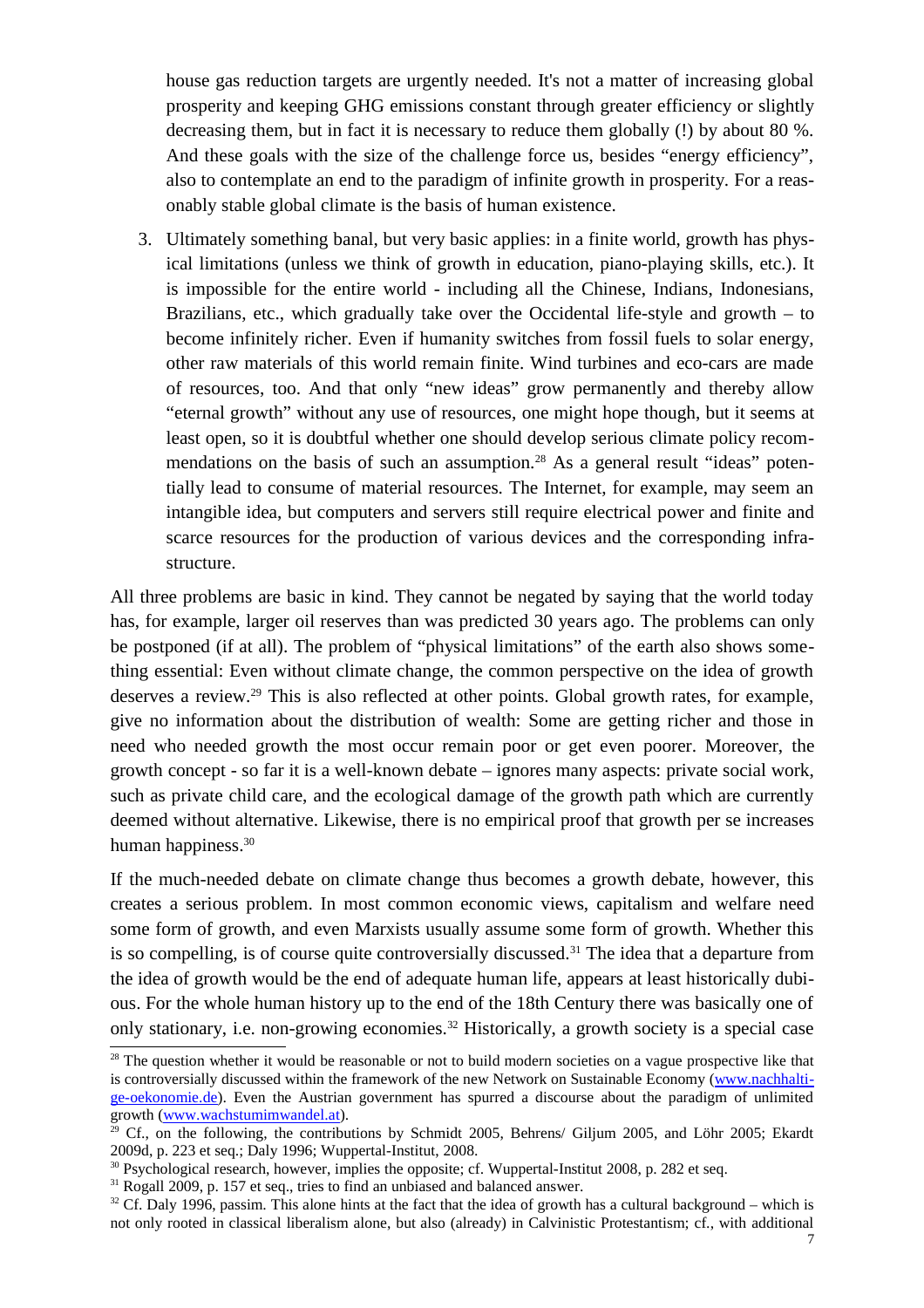house gas reduction targets are urgently needed. It's not a matter of increasing global prosperity and keeping GHG emissions constant through greater efficiency or slightly decreasing them, but in fact it is necessary to reduce them globally (!) by about 80 %. And these goals with the size of the challenge force us, besides "energy efficiency", also to contemplate an end to the paradigm of infinite growth in prosperity. For a reasonably stable global climate is the basis of human existence.

3. Ultimately something banal, but very basic applies: in a finite world, growth has physical limitations (unless we think of growth in education, piano-playing skills, etc.). It is impossible for the entire world - including all the Chinese, Indians, Indonesians, Brazilians, etc., which gradually take over the Occidental life-style and growth – to become infinitely richer. Even if humanity switches from fossil fuels to solar energy, other raw materials of this world remain finite. Wind turbines and eco-cars are made of resources, too. And that only "new ideas" grow permanently and thereby allow "eternal growth" without any use of resources, one might hope though, but it seems at least open, so it is doubtful whether one should develop serious climate policy recommendations on the basis of such an assumption.<sup>28</sup> As a general result "ideas" potentially lead to consume of material resources. The Internet, for example, may seem an intangible idea, but computers and servers still require electrical power and finite and scarce resources for the production of various devices and the corresponding infrastructure.

All three problems are basic in kind. They cannot be negated by saying that the world today has, for example, larger oil reserves than was predicted 30 years ago. The problems can only be postponed (if at all). The problem of "physical limitations" of the earth also shows something essential: Even without climate change, the common perspective on the idea of growth deserves a review.<sup>29</sup> This is also reflected at other points. Global growth rates, for example, give no information about the distribution of wealth: Some are getting richer and those in need who needed growth the most occur remain poor or get even poorer. Moreover, the growth concept - so far it is a well-known debate – ignores many aspects: private social work, such as private child care, and the ecological damage of the growth path which are currently deemed without alternative. Likewise, there is no empirical proof that growth per se increases human happiness.<sup>30</sup>

If the much-needed debate on climate change thus becomes a growth debate, however, this creates a serious problem. In most common economic views, capitalism and welfare need some form of growth, and even Marxists usually assume some form of growth. Whether this is so compelling, is of course quite controversially discussed.<sup>31</sup> The idea that a departure from the idea of growth would be the end of adequate human life, appears at least historically dubious. For the whole human history up to the end of the 18th Century there was basically one of only stationary, i.e. non-growing economies.<sup>32</sup> Historically, a growth society is a special case

<sup>&</sup>lt;sup>28</sup> The question whether it would be reasonable or not to build modern societies on a vague prospective like that is controversially discussed within the framework of the new Network on Sustainable Economy (www.nachhaltige-oekonomie.de). Even the Austrian government has spurred a discourse about the paradigm of unlimited growth (www.wachstumimwandel.at).

 $29$  Cf., on the following, the contributions by Schmidt 2005, Behrens/ Giljum 2005, and Löhr 2005; Ekardt 2009d, p. 223 et seq.; Daly 1996; Wuppertal-Institut, 2008.

<sup>&</sup>lt;sup>30</sup> Psychological research, however, implies the opposite; cf. Wuppertal-Institut 2008, p. 282 et seq.

<sup>&</sup>lt;sup>31</sup> Rogall 2009, p. 157 et seq., tries to find an unbiased and balanced answer.

 $32$  Cf. Daly 1996, passim. This alone hints at the fact that the idea of growth has a cultural background – which is not only rooted in classical liberalism alone, but also (already) in Calvinistic Protestantism; cf., with additional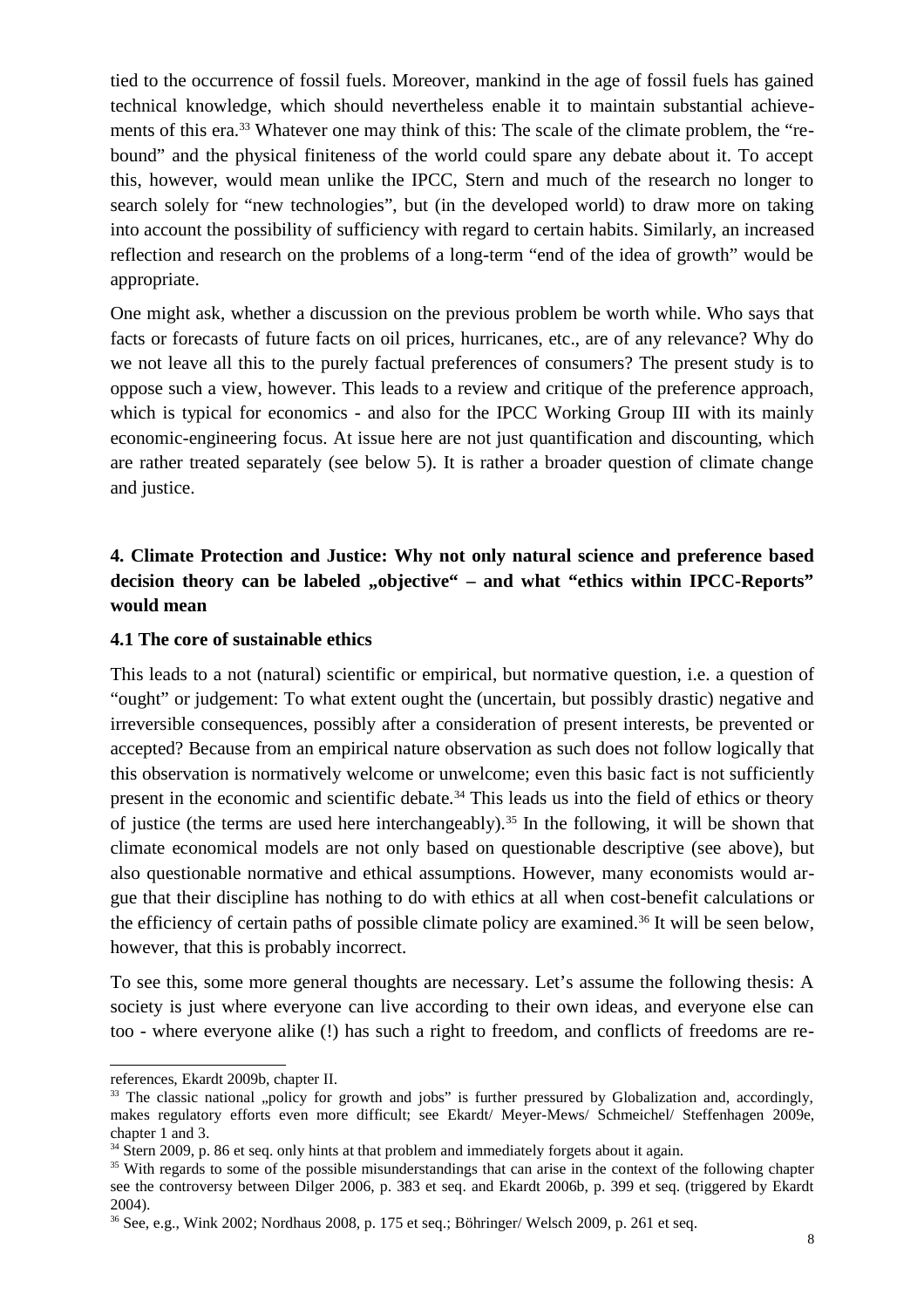tied to the occurrence of fossil fuels. Moreover, mankind in the age of fossil fuels has gained technical knowledge, which should nevertheless enable it to maintain substantial achievements of this era.<sup>33</sup> Whatever one may think of this: The scale of the climate problem, the "rebound" and the physical finiteness of the world could spare any debate about it. To accept this, however, would mean unlike the IPCC, Stern and much of the research no longer to search solely for "new technologies", but (in the developed world) to draw more on taking into account the possibility of sufficiency with regard to certain habits. Similarly, an increased reflection and research on the problems of a long-term "end of the idea of growth" would be appropriate.

One might ask, whether a discussion on the previous problem be worth while. Who says that facts or forecasts of future facts on oil prices, hurricanes, etc., are of any relevance? Why do we not leave all this to the purely factual preferences of consumers? The present study is to oppose such a view, however. This leads to a review and critique of the preference approach, which is typical for economics - and also for the IPCC Working Group III with its mainly economic-engineering focus. At issue here are not just quantification and discounting, which are rather treated separately (see below 5). It is rather a broader question of climate change and justice.

# **4. Climate Protection and Justice: Why not only natural science and preference based** decision theory can be labeled "objective" – and what "ethics within IPCC-Reports" **would mean**

### **4.1 The core of sustainable ethics**

This leads to a not (natural) scientific or empirical, but normative question, i.e. a question of "ought" or judgement: To what extent ought the (uncertain, but possibly drastic) negative and irreversible consequences, possibly after a consideration of present interests, be prevented or accepted? Because from an empirical nature observation as such does not follow logically that this observation is normatively welcome or unwelcome; even this basic fact is not sufficiently present in the economic and scientific debate.<sup>34</sup> This leads us into the field of ethics or theory of justice (the terms are used here interchangeably).<sup>35</sup> In the following, it will be shown that climate economical models are not only based on questionable descriptive (see above), but also questionable normative and ethical assumptions. However, many economists would argue that their discipline has nothing to do with ethics at all when cost-benefit calculations or the efficiency of certain paths of possible climate policy are examined.<sup>36</sup> It will be seen below, however, that this is probably incorrect.

To see this, some more general thoughts are necessary. Let's assume the following thesis: A society is just where everyone can live according to their own ideas, and everyone else can too - where everyone alike (!) has such a right to freedom, and conflicts of freedoms are re-

references, Ekardt 2009b, chapter II.

<sup>&</sup>lt;sup>33</sup> The classic national "policy for growth and jobs" is further pressured by Globalization and, accordingly, makes regulatory efforts even more difficult; see Ekardt/ Meyer-Mews/ Schmeichel/ Steffenhagen 2009e, chapter 1 and 3.

<sup>&</sup>lt;sup>34</sup> Stern 2009, p. 86 et seq. only hints at that problem and immediately forgets about it again.

<sup>&</sup>lt;sup>35</sup> With regards to some of the possible misunderstandings that can arise in the context of the following chapter see the controversy between Dilger 2006, p. 383 et seq. and Ekardt 2006b, p. 399 et seq. (triggered by Ekardt 2004).

<sup>36</sup> See, e.g., Wink 2002; Nordhaus 2008, p. 175 et seq.; Böhringer/ Welsch 2009, p. 261 et seq.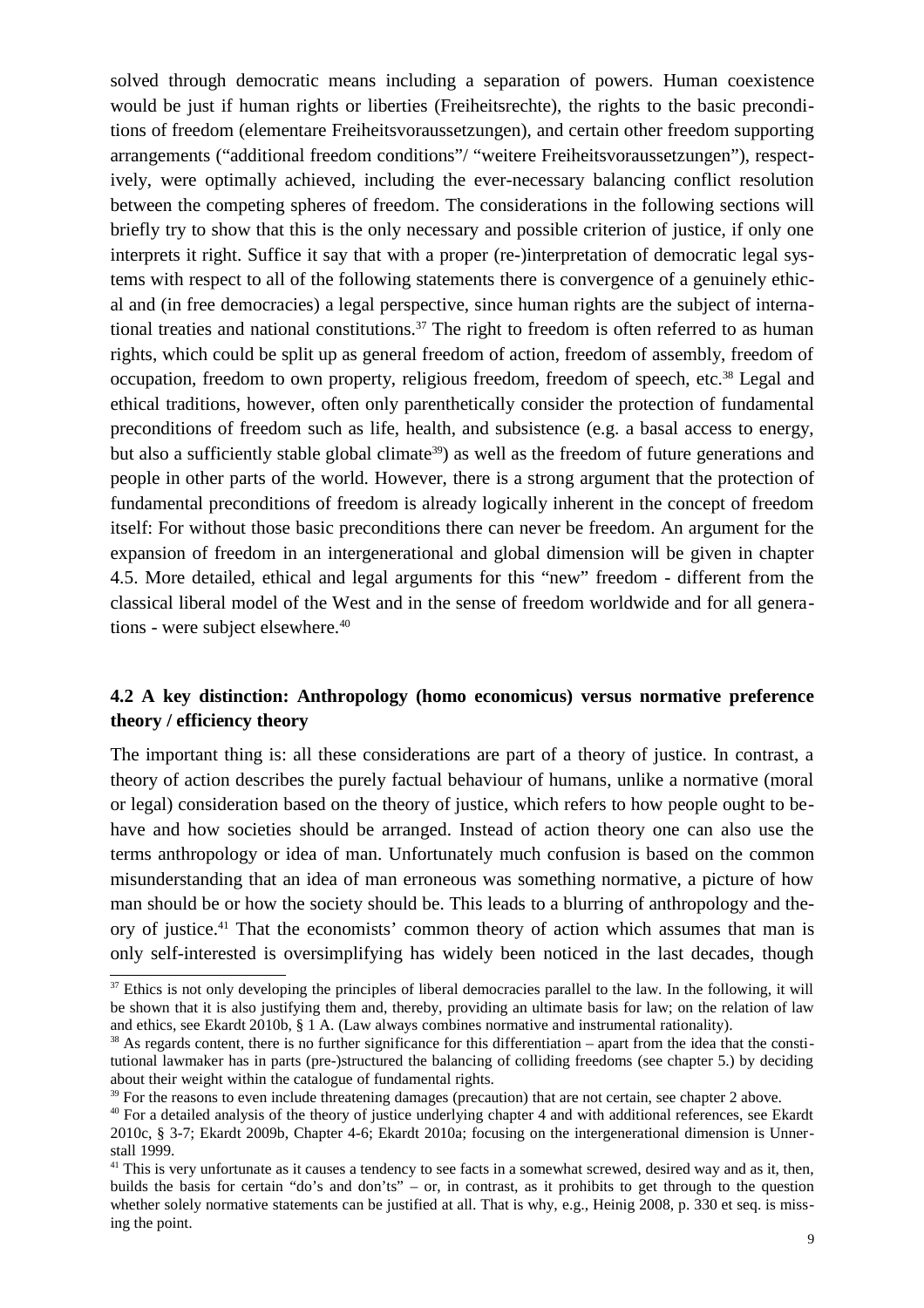solved through democratic means including a separation of powers. Human coexistence would be just if human rights or liberties (Freiheitsrechte), the rights to the basic preconditions of freedom (elementare Freiheitsvoraussetzungen), and certain other freedom supporting arrangements ("additional freedom conditions"/ "weitere Freiheitsvoraussetzungen"), respectively, were optimally achieved, including the ever-necessary balancing conflict resolution between the competing spheres of freedom. The considerations in the following sections will briefly try to show that this is the only necessary and possible criterion of justice, if only one interprets it right. Suffice it say that with a proper (re-)interpretation of democratic legal systems with respect to all of the following statements there is convergence of a genuinely ethical and (in free democracies) a legal perspective, since human rights are the subject of international treaties and national constitutions.<sup>37</sup> The right to freedom is often referred to as human rights, which could be split up as general freedom of action, freedom of assembly, freedom of occupation, freedom to own property, religious freedom, freedom of speech, etc.<sup>38</sup> Legal and ethical traditions, however, often only parenthetically consider the protection of fundamental preconditions of freedom such as life, health, and subsistence (e.g. a basal access to energy, but also a sufficiently stable global climate<sup>39</sup>) as well as the freedom of future generations and people in other parts of the world. However, there is a strong argument that the protection of fundamental preconditions of freedom is already logically inherent in the concept of freedom itself: For without those basic preconditions there can never be freedom. An argument for the expansion of freedom in an intergenerational and global dimension will be given in chapter 4.5. More detailed, ethical and legal arguments for this "new" freedom - different from the classical liberal model of the West and in the sense of freedom worldwide and for all generations - were subject elsewhere.<sup>40</sup>

## **4.2 A key distinction: Anthropology (homo economicus) versus normative preference theory / efficiency theory**

The important thing is: all these considerations are part of a theory of justice. In contrast, a theory of action describes the purely factual behaviour of humans, unlike a normative (moral or legal) consideration based on the theory of justice, which refers to how people ought to behave and how societies should be arranged. Instead of action theory one can also use the terms anthropology or idea of man. Unfortunately much confusion is based on the common misunderstanding that an idea of man erroneous was something normative, a picture of how man should be or how the society should be. This leads to a blurring of anthropology and theory of justice.<sup>41</sup> That the economists' common theory of action which assumes that man is only self-interested is oversimplifying has widely been noticed in the last decades, though

 $37$  Ethics is not only developing the principles of liberal democracies parallel to the law. In the following, it will be shown that it is also justifying them and, thereby, providing an ultimate basis for law; on the relation of law and ethics, see Ekardt 2010b, § 1 A. (Law always combines normative and instrumental rationality).

 $38$  As regards content, there is no further significance for this differentiation – apart from the idea that the constitutional lawmaker has in parts (pre-)structured the balancing of colliding freedoms (see chapter 5.) by deciding about their weight within the catalogue of fundamental rights.

<sup>&</sup>lt;sup>39</sup> For the reasons to even include threatening damages (precaution) that are not certain, see chapter 2 above.

<sup>&</sup>lt;sup>40</sup> For a detailed analysis of the theory of justice underlying chapter 4 and with additional references, see Ekardt 2010c, § 3-7; Ekardt 2009b, Chapter 4-6; Ekardt 2010a; focusing on the intergenerational dimension is Unnerstall 1999.

 $41$  This is very unfortunate as it causes a tendency to see facts in a somewhat screwed, desired way and as it, then, builds the basis for certain "do's and don'ts" – or, in contrast, as it prohibits to get through to the question whether solely normative statements can be justified at all. That is why, e.g., Heinig 2008, p. 330 et seq. is missing the point.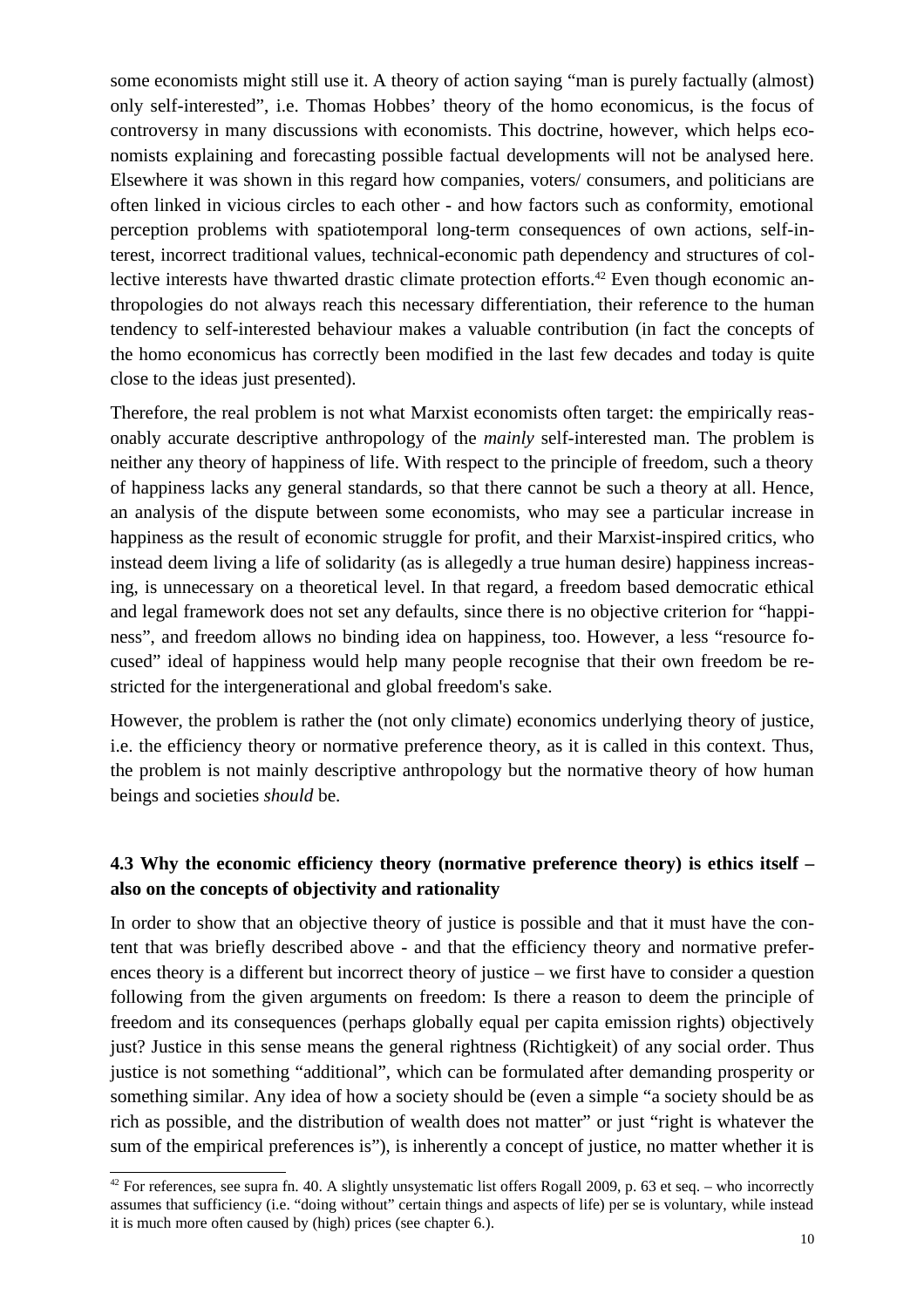some economists might still use it. A theory of action saying "man is purely factually (almost) only self-interested", i.e. Thomas Hobbes' theory of the homo economicus, is the focus of controversy in many discussions with economists. This doctrine, however, which helps economists explaining and forecasting possible factual developments will not be analysed here. Elsewhere it was shown in this regard how companies, voters/ consumers, and politicians are often linked in vicious circles to each other - and how factors such as conformity, emotional perception problems with spatiotemporal long-term consequences of own actions, self-interest, incorrect traditional values, technical-economic path dependency and structures of collective interests have thwarted drastic climate protection efforts.<sup>42</sup> Even though economic anthropologies do not always reach this necessary differentiation, their reference to the human tendency to self-interested behaviour makes a valuable contribution (in fact the concepts of the homo economicus has correctly been modified in the last few decades and today is quite close to the ideas just presented).

Therefore, the real problem is not what Marxist economists often target: the empirically reasonably accurate descriptive anthropology of the *mainly* self-interested man. The problem is neither any theory of happiness of life. With respect to the principle of freedom, such a theory of happiness lacks any general standards, so that there cannot be such a theory at all. Hence, an analysis of the dispute between some economists, who may see a particular increase in happiness as the result of economic struggle for profit, and their Marxist-inspired critics, who instead deem living a life of solidarity (as is allegedly a true human desire) happiness increasing, is unnecessary on a theoretical level. In that regard, a freedom based democratic ethical and legal framework does not set any defaults, since there is no objective criterion for "happiness", and freedom allows no binding idea on happiness, too. However, a less "resource focused" ideal of happiness would help many people recognise that their own freedom be restricted for the intergenerational and global freedom's sake.

However, the problem is rather the (not only climate) economics underlying theory of justice, i.e. the efficiency theory or normative preference theory, as it is called in this context. Thus, the problem is not mainly descriptive anthropology but the normative theory of how human beings and societies *should* be.

# **4.3 Why the economic efficiency theory (normative preference theory) is ethics itself – also on the concepts of objectivity and rationality**

In order to show that an objective theory of justice is possible and that it must have the content that was briefly described above - and that the efficiency theory and normative preferences theory is a different but incorrect theory of justice – we first have to consider a question following from the given arguments on freedom: Is there a reason to deem the principle of freedom and its consequences (perhaps globally equal per capita emission rights) objectively just? Justice in this sense means the general rightness (Richtigkeit) of any social order. Thus justice is not something "additional", which can be formulated after demanding prosperity or something similar. Any idea of how a society should be (even a simple "a society should be as rich as possible, and the distribution of wealth does not matter" or just "right is whatever the sum of the empirical preferences is"), is inherently a concept of justice, no matter whether it is

<sup>&</sup>lt;sup>42</sup> For references, see supra fn. 40. A slightly unsystematic list offers Rogall 2009, p. 63 et seq. – who incorrectly assumes that sufficiency (i.e. "doing without" certain things and aspects of life) per se is voluntary, while instead it is much more often caused by (high) prices (see chapter 6.).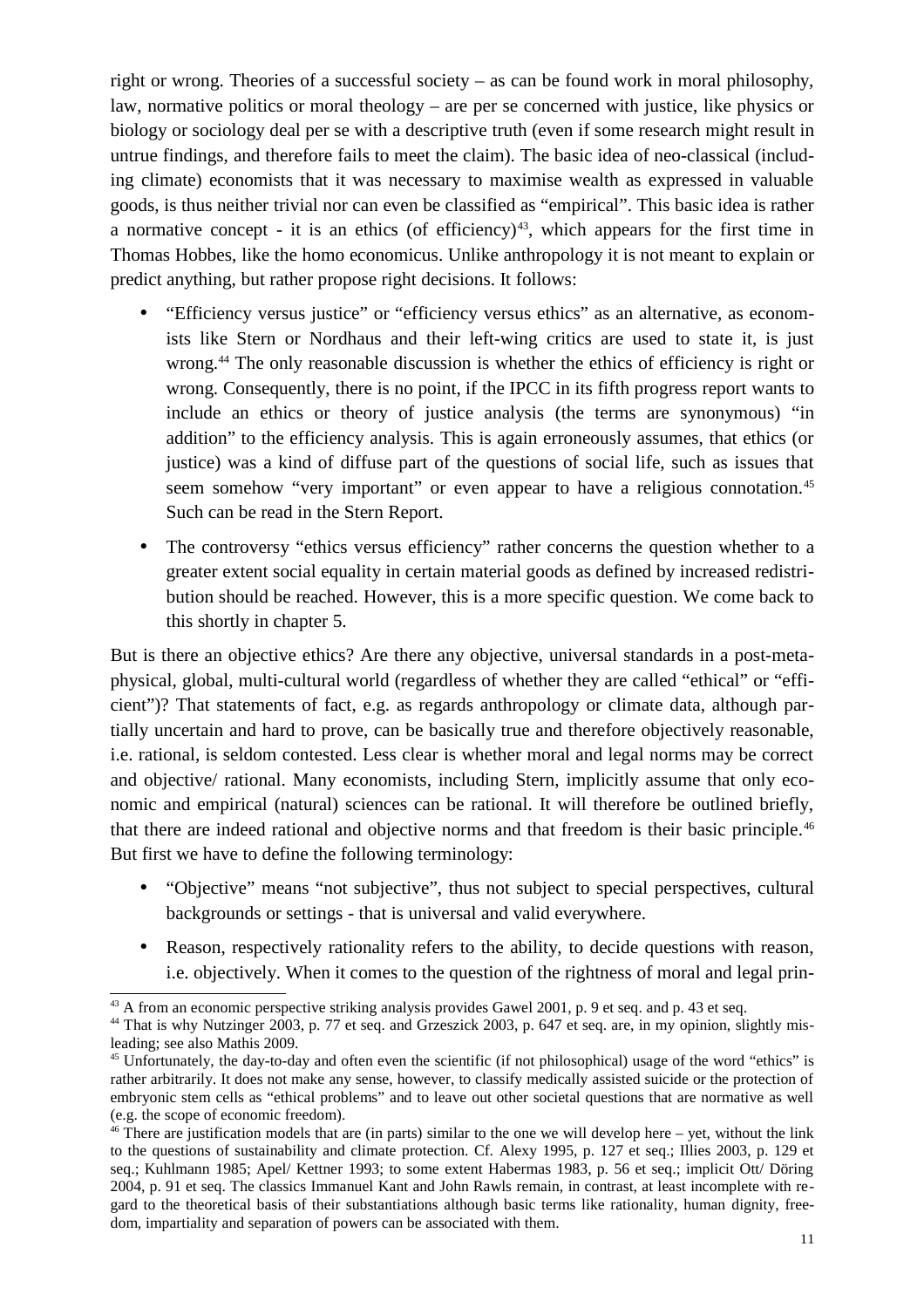right or wrong. Theories of a successful society – as can be found work in moral philosophy, law, normative politics or moral theology – are per se concerned with justice, like physics or biology or sociology deal per se with a descriptive truth (even if some research might result in untrue findings, and therefore fails to meet the claim). The basic idea of neo-classical (including climate) economists that it was necessary to maximise wealth as expressed in valuable goods, is thus neither trivial nor can even be classified as "empirical". This basic idea is rather a normative concept - it is an ethics (of efficiency)<sup>43</sup>, which appears for the first time in Thomas Hobbes, like the homo economicus. Unlike anthropology it is not meant to explain or predict anything, but rather propose right decisions. It follows:

- "Efficiency versus justice" or "efficiency versus ethics" as an alternative, as economists like Stern or Nordhaus and their left-wing critics are used to state it, is just wrong.<sup>44</sup> The only reasonable discussion is whether the ethics of efficiency is right or wrong. Consequently, there is no point, if the IPCC in its fifth progress report wants to include an ethics or theory of justice analysis (the terms are synonymous) "in addition" to the efficiency analysis. This is again erroneously assumes, that ethics (or justice) was a kind of diffuse part of the questions of social life, such as issues that seem somehow "very important" or even appear to have a religious connotation.<sup>45</sup> Such can be read in the Stern Report.
- The controversy "ethics versus efficiency" rather concerns the question whether to a greater extent social equality in certain material goods as defined by increased redistribution should be reached. However, this is a more specific question. We come back to this shortly in chapter 5.

But is there an objective ethics? Are there any objective, universal standards in a post-metaphysical, global, multi-cultural world (regardless of whether they are called "ethical" or "efficient")? That statements of fact, e.g. as regards anthropology or climate data, although partially uncertain and hard to prove, can be basically true and therefore objectively reasonable, i.e. rational, is seldom contested. Less clear is whether moral and legal norms may be correct and objective/ rational. Many economists, including Stern, implicitly assume that only economic and empirical (natural) sciences can be rational. It will therefore be outlined briefly, that there are indeed rational and objective norms and that freedom is their basic principle.<sup>46</sup> But first we have to define the following terminology:

- "Objective" means "not subjective", thus not subject to special perspectives, cultural backgrounds or settings - that is universal and valid everywhere.
- Reason, respectively rationality refers to the ability, to decide questions with reason, i.e. objectively. When it comes to the question of the rightness of moral and legal prin-

 $43$  A from an economic perspective striking analysis provides Gawel 2001, p. 9 et seq. and p. 43 et seq.

<sup>&</sup>lt;sup>44</sup> That is why Nutzinger 2003, p. 77 et seq. and Grzeszick 2003, p. 647 et seq. are, in my opinion, slightly misleading; see also Mathis 2009.

<sup>45</sup> Unfortunately, the day-to-day and often even the scientific (if not philosophical) usage of the word "ethics" is rather arbitrarily. It does not make any sense, however, to classify medically assisted suicide or the protection of embryonic stem cells as "ethical problems" and to leave out other societal questions that are normative as well (e.g. the scope of economic freedom).

 $46$  There are justification models that are (in parts) similar to the one we will develop here – yet, without the link to the questions of sustainability and climate protection. Cf. Alexy 1995, p. 127 et seq.; Illies 2003, p. 129 et seq.; Kuhlmann 1985; Apel/ Kettner 1993; to some extent Habermas 1983, p. 56 et seq.; implicit Ott/ Döring 2004, p. 91 et seq. The classics Immanuel Kant and John Rawls remain, in contrast, at least incomplete with regard to the theoretical basis of their substantiations although basic terms like rationality, human dignity, freedom, impartiality and separation of powers can be associated with them.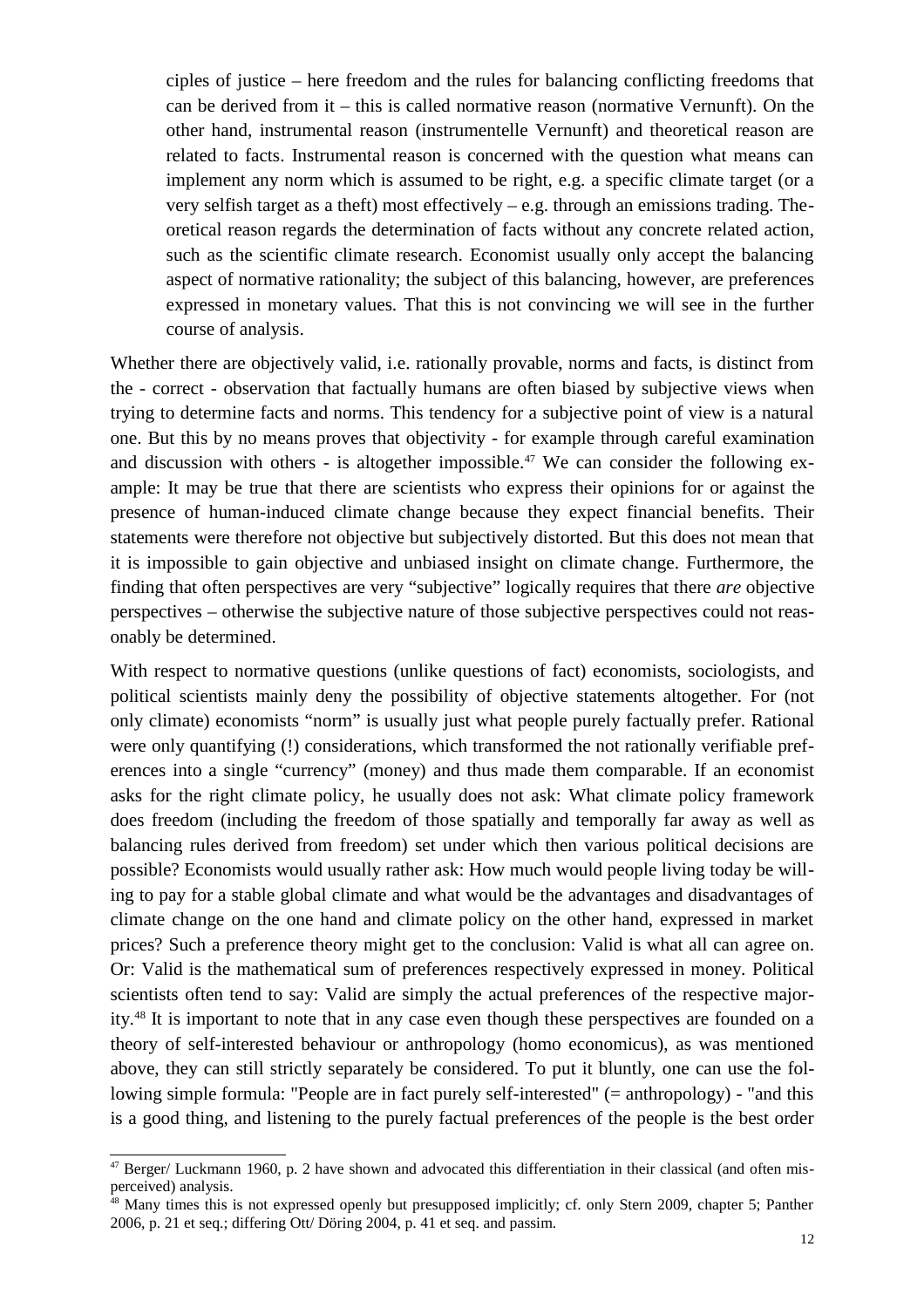ciples of justice – here freedom and the rules for balancing conflicting freedoms that can be derived from it – this is called normative reason (normative Vernunft). On the other hand, instrumental reason (instrumentelle Vernunft) and theoretical reason are related to facts. Instrumental reason is concerned with the question what means can implement any norm which is assumed to be right, e.g. a specific climate target (or a very selfish target as a theft) most effectively – e.g. through an emissions trading. Theoretical reason regards the determination of facts without any concrete related action, such as the scientific climate research. Economist usually only accept the balancing aspect of normative rationality; the subject of this balancing, however, are preferences expressed in monetary values. That this is not convincing we will see in the further course of analysis.

Whether there are objectively valid, i.e. rationally provable, norms and facts, is distinct from the - correct - observation that factually humans are often biased by subjective views when trying to determine facts and norms. This tendency for a subjective point of view is a natural one. But this by no means proves that objectivity - for example through careful examination and discussion with others - is altogether impossible.<sup>47</sup> We can consider the following example: It may be true that there are scientists who express their opinions for or against the presence of human-induced climate change because they expect financial benefits. Their statements were therefore not objective but subjectively distorted. But this does not mean that it is impossible to gain objective and unbiased insight on climate change. Furthermore, the finding that often perspectives are very "subjective" logically requires that there *are* objective perspectives – otherwise the subjective nature of those subjective perspectives could not reasonably be determined.

With respect to normative questions (unlike questions of fact) economists, sociologists, and political scientists mainly deny the possibility of objective statements altogether. For (not only climate) economists "norm" is usually just what people purely factually prefer. Rational were only quantifying (!) considerations, which transformed the not rationally verifiable preferences into a single "currency" (money) and thus made them comparable. If an economist asks for the right climate policy, he usually does not ask: What climate policy framework does freedom (including the freedom of those spatially and temporally far away as well as balancing rules derived from freedom) set under which then various political decisions are possible? Economists would usually rather ask: How much would people living today be willing to pay for a stable global climate and what would be the advantages and disadvantages of climate change on the one hand and climate policy on the other hand, expressed in market prices? Such a preference theory might get to the conclusion: Valid is what all can agree on. Or: Valid is the mathematical sum of preferences respectively expressed in money. Political scientists often tend to say: Valid are simply the actual preferences of the respective majority.<sup>48</sup> It is important to note that in any case even though these perspectives are founded on a theory of self-interested behaviour or anthropology (homo economicus), as was mentioned above, they can still strictly separately be considered. To put it bluntly, one can use the following simple formula: "People are in fact purely self-interested" (= anthropology) - "and this is a good thing, and listening to the purely factual preferences of the people is the best order

 $47$  Berger/ Luckmann 1960, p. 2 have shown and advocated this differentiation in their classical (and often misperceived) analysis.

<sup>&</sup>lt;sup>48</sup> Many times this is not expressed openly but presupposed implicitly; cf. only Stern 2009, chapter 5; Panther 2006, p. 21 et seq.; differing Ott/ Döring 2004, p. 41 et seq. and passim.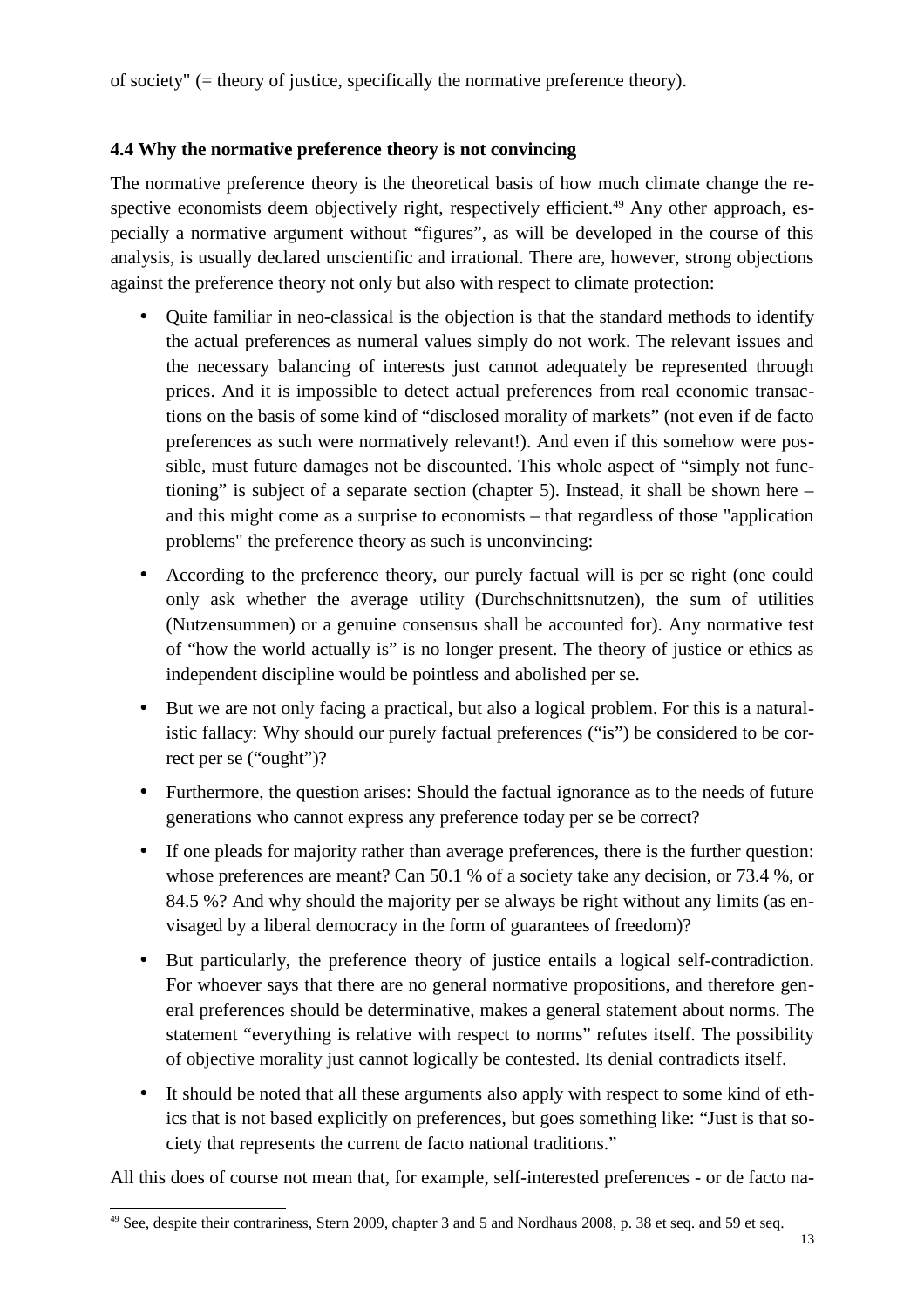of society" (= theory of justice, specifically the normative preference theory).

### **4.4 Why the normative preference theory is not convincing**

The normative preference theory is the theoretical basis of how much climate change the respective economists deem objectively right, respectively efficient.<sup>49</sup> Any other approach, especially a normative argument without "figures", as will be developed in the course of this analysis, is usually declared unscientific and irrational. There are, however, strong objections against the preference theory not only but also with respect to climate protection:

- Ouite familiar in neo-classical is the objection is that the standard methods to identify the actual preferences as numeral values simply do not work. The relevant issues and the necessary balancing of interests just cannot adequately be represented through prices. And it is impossible to detect actual preferences from real economic transactions on the basis of some kind of "disclosed morality of markets" (not even if de facto preferences as such were normatively relevant!). And even if this somehow were possible, must future damages not be discounted. This whole aspect of "simply not functioning" is subject of a separate section (chapter 5). Instead, it shall be shown here – and this might come as a surprise to economists – that regardless of those "application problems" the preference theory as such is unconvincing:
- According to the preference theory, our purely factual will is per se right (one could only ask whether the average utility (Durchschnittsnutzen), the sum of utilities (Nutzensummen) or a genuine consensus shall be accounted for). Any normative test of "how the world actually is" is no longer present. The theory of justice or ethics as independent discipline would be pointless and abolished per se.
- But we are not only facing a practical, but also a logical problem. For this is a naturalistic fallacy: Why should our purely factual preferences ("is") be considered to be correct per se ("ought")?
- Furthermore, the question arises: Should the factual ignorance as to the needs of future generations who cannot express any preference today per se be correct?
- If one pleads for majority rather than average preferences, there is the further question: whose preferences are meant? Can 50.1 % of a society take any decision, or 73.4 %, or 84.5 %? And why should the majority per se always be right without any limits (as envisaged by a liberal democracy in the form of guarantees of freedom)?
- But particularly, the preference theory of justice entails a logical self-contradiction. For whoever says that there are no general normative propositions, and therefore general preferences should be determinative, makes a general statement about norms. The statement "everything is relative with respect to norms" refutes itself. The possibility of objective morality just cannot logically be contested. Its denial contradicts itself.
- It should be noted that all these arguments also apply with respect to some kind of ethics that is not based explicitly on preferences, but goes something like: "Just is that society that represents the current de facto national traditions."

All this does of course not mean that, for example, self-interested preferences - or de facto na-

<sup>&</sup>lt;sup>49</sup> See, despite their contrariness, Stern 2009, chapter 3 and 5 and Nordhaus 2008, p. 38 et seq. and 59 et seq.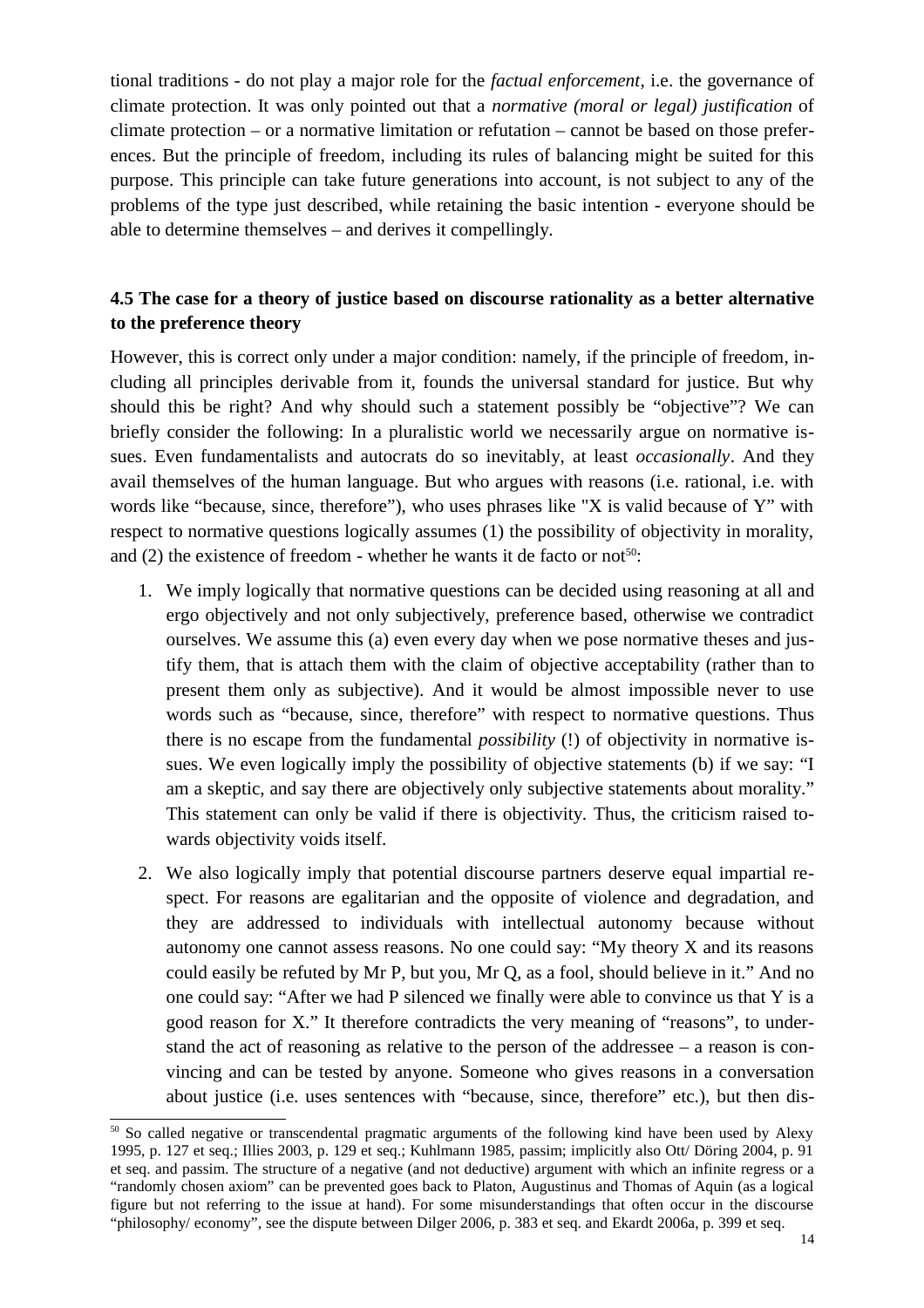tional traditions - do not play a major role for the *factual enforcement*, i.e. the governance of climate protection. It was only pointed out that a *normative (moral or legal) justification* of climate protection – or a normative limitation or refutation – cannot be based on those preferences. But the principle of freedom, including its rules of balancing might be suited for this purpose. This principle can take future generations into account, is not subject to any of the problems of the type just described, while retaining the basic intention - everyone should be able to determine themselves – and derives it compellingly.

# **4.5 The case for a theory of justice based on discourse rationality as a better alternative to the preference theory**

However, this is correct only under a major condition: namely, if the principle of freedom, including all principles derivable from it, founds the universal standard for justice. But why should this be right? And why should such a statement possibly be "objective"? We can briefly consider the following: In a pluralistic world we necessarily argue on normative issues. Even fundamentalists and autocrats do so inevitably, at least *occasionally*. And they avail themselves of the human language. But who argues with reasons (i.e. rational, i.e. with words like "because, since, therefore"), who uses phrases like "X is valid because of Y" with respect to normative questions logically assumes (1) the possibility of objectivity in morality, and (2) the existence of freedom - whether he wants it de facto or not<sup>50</sup>:

- 1. We imply logically that normative questions can be decided using reasoning at all and ergo objectively and not only subjectively, preference based, otherwise we contradict ourselves. We assume this (a) even every day when we pose normative theses and justify them, that is attach them with the claim of objective acceptability (rather than to present them only as subjective). And it would be almost impossible never to use words such as "because, since, therefore" with respect to normative questions. Thus there is no escape from the fundamental *possibility* (!) of objectivity in normative issues. We even logically imply the possibility of objective statements (b) if we say: "I am a skeptic, and say there are objectively only subjective statements about morality." This statement can only be valid if there is objectivity. Thus, the criticism raised towards objectivity voids itself.
- 2. We also logically imply that potential discourse partners deserve equal impartial respect. For reasons are egalitarian and the opposite of violence and degradation, and they are addressed to individuals with intellectual autonomy because without autonomy one cannot assess reasons. No one could say: "My theory X and its reasons could easily be refuted by Mr P, but you, Mr Q, as a fool, should believe in it." And no one could say: "After we had P silenced we finally were able to convince us that Y is a good reason for X." It therefore contradicts the very meaning of "reasons", to understand the act of reasoning as relative to the person of the addressee – a reason is convincing and can be tested by anyone. Someone who gives reasons in a conversation about justice (i.e. uses sentences with "because, since, therefore" etc.), but then dis-

<sup>&</sup>lt;sup>50</sup> So called negative or transcendental pragmatic arguments of the following kind have been used by Alexy 1995, p. 127 et seq.; Illies 2003, p. 129 et seq.; Kuhlmann 1985, passim; implicitly also Ott/ Döring 2004, p. 91 et seq. and passim. The structure of a negative (and not deductive) argument with which an infinite regress or a "randomly chosen axiom" can be prevented goes back to Platon, Augustinus and Thomas of Aquin (as a logical figure but not referring to the issue at hand). For some misunderstandings that often occur in the discourse "philosophy/ economy", see the dispute between Dilger 2006, p. 383 et seq. and Ekardt 2006a, p. 399 et seq.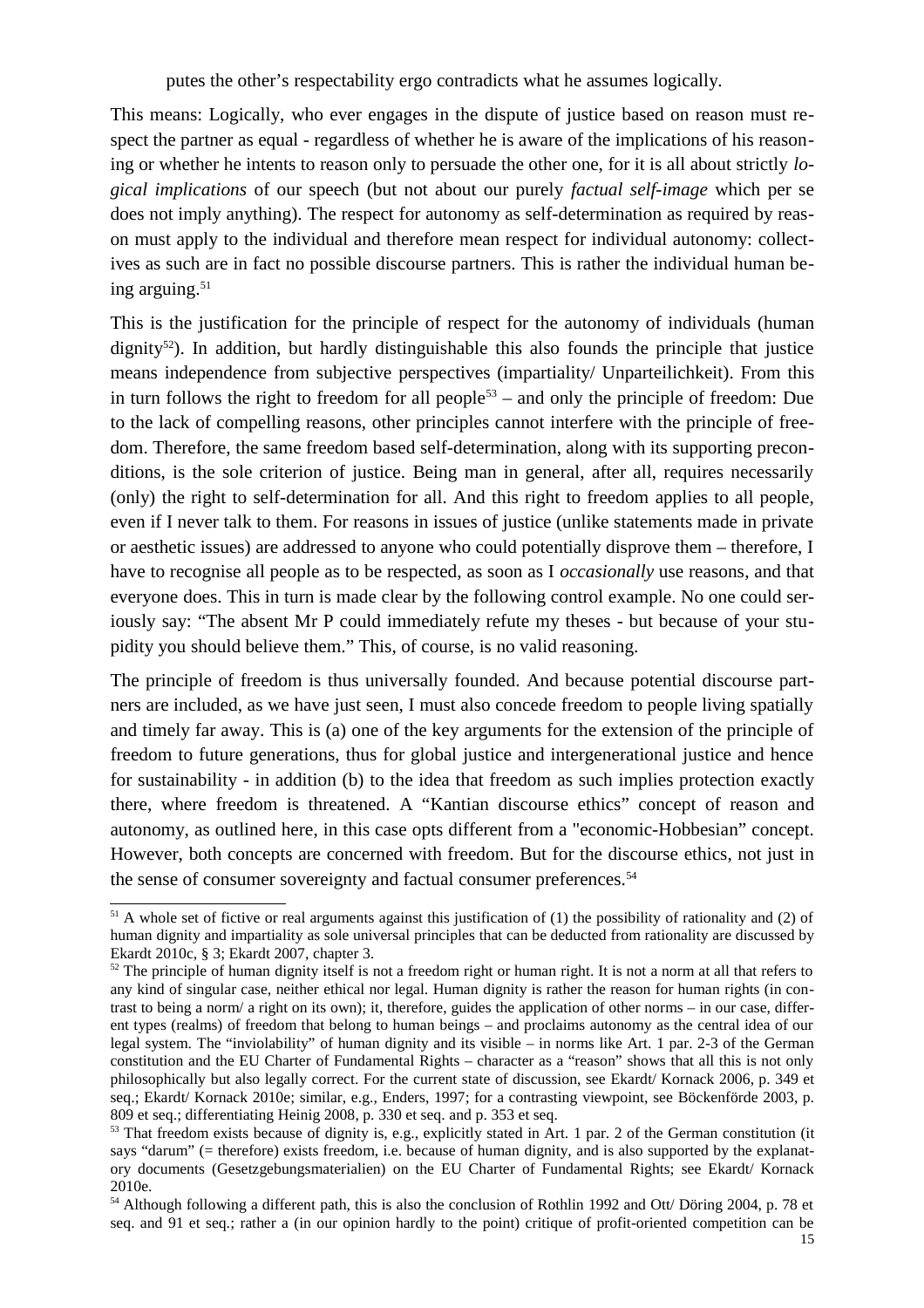putes the other's respectability ergo contradicts what he assumes logically.

This means: Logically, who ever engages in the dispute of justice based on reason must respect the partner as equal - regardless of whether he is aware of the implications of his reasoning or whether he intents to reason only to persuade the other one, for it is all about strictly *logical implications* of our speech (but not about our purely *factual self-image* which per se does not imply anything). The respect for autonomy as self-determination as required by reason must apply to the individual and therefore mean respect for individual autonomy: collectives as such are in fact no possible discourse partners. This is rather the individual human being arguing.<sup>51</sup>

This is the justification for the principle of respect for the autonomy of individuals (human  $\alpha$  dignity<sup>52</sup>). In addition, but hardly distinguishable this also founds the principle that justice means independence from subjective perspectives (impartiality/ Unparteilichkeit). From this in turn follows the right to freedom for all people<sup>53</sup> – and only the principle of freedom: Due to the lack of compelling reasons, other principles cannot interfere with the principle of freedom. Therefore, the same freedom based self-determination, along with its supporting preconditions, is the sole criterion of justice. Being man in general, after all, requires necessarily (only) the right to self-determination for all. And this right to freedom applies to all people, even if I never talk to them. For reasons in issues of justice (unlike statements made in private or aesthetic issues) are addressed to anyone who could potentially disprove them – therefore, I have to recognise all people as to be respected, as soon as I *occasionally* use reasons, and that everyone does. This in turn is made clear by the following control example. No one could seriously say: "The absent Mr P could immediately refute my theses - but because of your stupidity you should believe them." This, of course, is no valid reasoning.

The principle of freedom is thus universally founded. And because potential discourse partners are included, as we have just seen, I must also concede freedom to people living spatially and timely far away. This is (a) one of the key arguments for the extension of the principle of freedom to future generations, thus for global justice and intergenerational justice and hence for sustainability - in addition (b) to the idea that freedom as such implies protection exactly there, where freedom is threatened. A "Kantian discourse ethics" concept of reason and autonomy, as outlined here, in this case opts different from a "economic-Hobbesian" concept. However, both concepts are concerned with freedom. But for the discourse ethics, not just in the sense of consumer sovereignty and factual consumer preferences.<sup>54</sup>

 $51$  A whole set of fictive or real arguments against this justification of (1) the possibility of rationality and (2) of human dignity and impartiality as sole universal principles that can be deducted from rationality are discussed by Ekardt 2010c, § 3; Ekardt 2007, chapter 3.

 $52$  The principle of human dignity itself is not a freedom right or human right. It is not a norm at all that refers to any kind of singular case, neither ethical nor legal. Human dignity is rather the reason for human rights (in contrast to being a norm/ a right on its own); it, therefore, guides the application of other norms – in our case, different types (realms) of freedom that belong to human beings – and proclaims autonomy as the central idea of our legal system. The "inviolability" of human dignity and its visible – in norms like Art. 1 par. 2-3 of the German constitution and the EU Charter of Fundamental Rights – character as a "reason" shows that all this is not only philosophically but also legally correct. For the current state of discussion, see Ekardt/ Kornack 2006, p. 349 et seq.; Ekardt/ Kornack 2010e; similar, e.g., Enders, 1997; for a contrasting viewpoint, see Böckenförde 2003, p. 809 et seq.; differentiating Heinig 2008, p. 330 et seq. and p. 353 et seq.

<sup>&</sup>lt;sup>53</sup> That freedom exists because of dignity is, e.g., explicitly stated in Art. 1 par. 2 of the German constitution (it says "darum" (= therefore) exists freedom, i.e. because of human dignity, and is also supported by the explanatory documents (Gesetzgebungsmaterialien) on the EU Charter of Fundamental Rights; see Ekardt/ Kornack 2010e.

<sup>&</sup>lt;sup>54</sup> Although following a different path, this is also the conclusion of Rothlin 1992 and Ott/ Döring 2004, p. 78 et seq. and 91 et seq.; rather a (in our opinion hardly to the point) critique of profit-oriented competition can be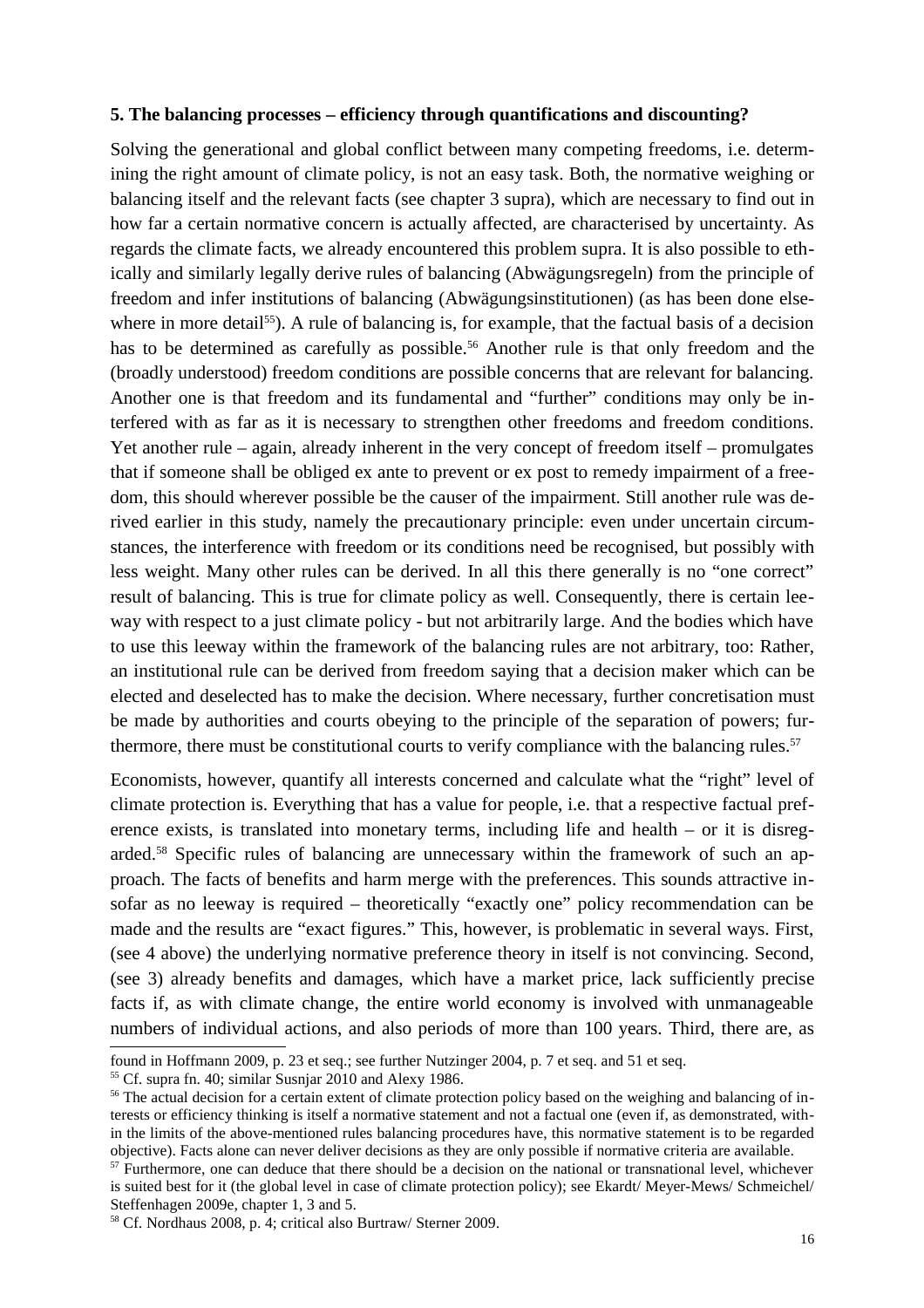#### **5. The balancing processes – efficiency through quantifications and discounting?**

Solving the generational and global conflict between many competing freedoms, i.e. determining the right amount of climate policy, is not an easy task. Both, the normative weighing or balancing itself and the relevant facts (see chapter 3 supra), which are necessary to find out in how far a certain normative concern is actually affected, are characterised by uncertainty. As regards the climate facts, we already encountered this problem supra. It is also possible to ethically and similarly legally derive rules of balancing (Abwägungsregeln) from the principle of freedom and infer institutions of balancing (Abwägungsinstitutionen) (as has been done elsewhere in more detail<sup>55</sup>). A rule of balancing is, for example, that the factual basis of a decision has to be determined as carefully as possible.<sup>56</sup> Another rule is that only freedom and the (broadly understood) freedom conditions are possible concerns that are relevant for balancing. Another one is that freedom and its fundamental and "further" conditions may only be interfered with as far as it is necessary to strengthen other freedoms and freedom conditions. Yet another rule – again, already inherent in the very concept of freedom itself – promulgates that if someone shall be obliged ex ante to prevent or ex post to remedy impairment of a freedom, this should wherever possible be the causer of the impairment. Still another rule was derived earlier in this study, namely the precautionary principle: even under uncertain circumstances, the interference with freedom or its conditions need be recognised, but possibly with less weight. Many other rules can be derived. In all this there generally is no "one correct" result of balancing. This is true for climate policy as well. Consequently, there is certain leeway with respect to a just climate policy - but not arbitrarily large. And the bodies which have to use this leeway within the framework of the balancing rules are not arbitrary, too: Rather, an institutional rule can be derived from freedom saying that a decision maker which can be elected and deselected has to make the decision. Where necessary, further concretisation must be made by authorities and courts obeying to the principle of the separation of powers; furthermore, there must be constitutional courts to verify compliance with the balancing rules.<sup>57</sup>

Economists, however, quantify all interests concerned and calculate what the "right" level of climate protection is. Everything that has a value for people, i.e. that a respective factual preference exists, is translated into monetary terms, including life and health – or it is disregarded.58 Specific rules of balancing are unnecessary within the framework of such an approach. The facts of benefits and harm merge with the preferences. This sounds attractive insofar as no leeway is required – theoretically "exactly one" policy recommendation can be made and the results are "exact figures." This, however, is problematic in several ways. First, (see 4 above) the underlying normative preference theory in itself is not convincing. Second, (see 3) already benefits and damages, which have a market price, lack sufficiently precise facts if, as with climate change, the entire world economy is involved with unmanageable numbers of individual actions, and also periods of more than 100 years. Third, there are, as

found in Hoffmann 2009, p. 23 et seq.; see further Nutzinger 2004, p. 7 et seq. and 51 et seq.

<sup>&</sup>lt;sup>55</sup> Cf. supra fn. 40; similar Susnjar 2010 and Alexy 1986.

<sup>&</sup>lt;sup>56</sup> The actual decision for a certain extent of climate protection policy based on the weighing and balancing of interests or efficiency thinking is itself a normative statement and not a factual one (even if, as demonstrated, within the limits of the above-mentioned rules balancing procedures have, this normative statement is to be regarded objective). Facts alone can never deliver decisions as they are only possible if normative criteria are available.

 $57$  Furthermore, one can deduce that there should be a decision on the national or transnational level, whichever is suited best for it (the global level in case of climate protection policy); see Ekardt/ Meyer-Mews/ Schmeichel/ Steffenhagen 2009e, chapter 1, 3 and 5.

<sup>58</sup> Cf. Nordhaus 2008, p. 4; critical also Burtraw/ Sterner 2009.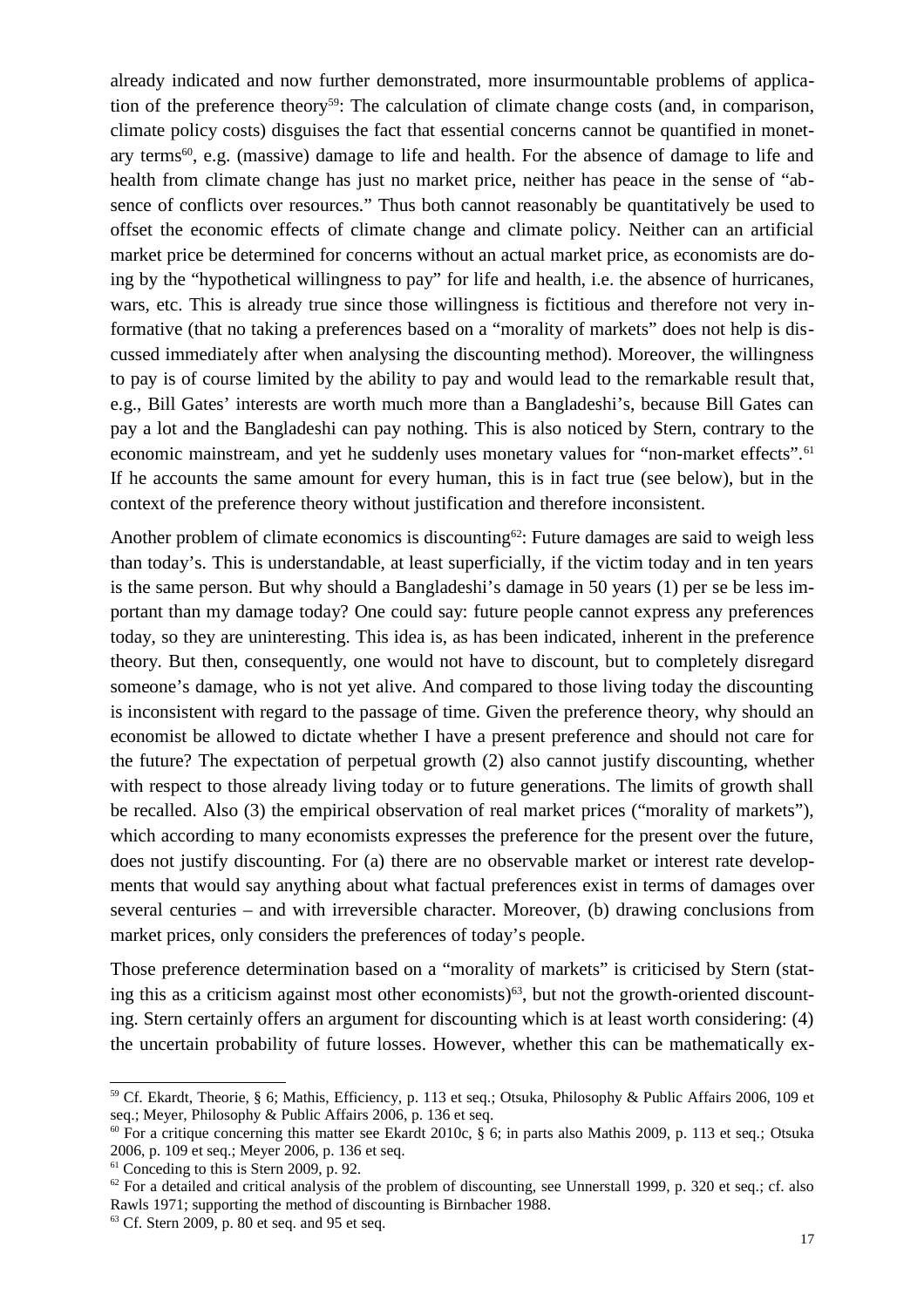already indicated and now further demonstrated, more insurmountable problems of application of the preference theory<sup>59</sup>: The calculation of climate change costs (and, in comparison, climate policy costs) disguises the fact that essential concerns cannot be quantified in monetary terms<sup>60</sup>, e.g. (massive) damage to life and health. For the absence of damage to life and health from climate change has just no market price, neither has peace in the sense of "absence of conflicts over resources." Thus both cannot reasonably be quantitatively be used to offset the economic effects of climate change and climate policy. Neither can an artificial market price be determined for concerns without an actual market price, as economists are doing by the "hypothetical willingness to pay" for life and health, i.e. the absence of hurricanes, wars, etc. This is already true since those willingness is fictitious and therefore not very informative (that no taking a preferences based on a "morality of markets" does not help is discussed immediately after when analysing the discounting method). Moreover, the willingness to pay is of course limited by the ability to pay and would lead to the remarkable result that, e.g., Bill Gates' interests are worth much more than a Bangladeshi's, because Bill Gates can pay a lot and the Bangladeshi can pay nothing. This is also noticed by Stern, contrary to the economic mainstream, and yet he suddenly uses monetary values for "non-market effects".<sup>61</sup> If he accounts the same amount for every human, this is in fact true (see below), but in the context of the preference theory without justification and therefore inconsistent.

Another problem of climate economics is discounting<sup>62</sup>: Future damages are said to weigh less than today's. This is understandable, at least superficially, if the victim today and in ten years is the same person. But why should a Bangladeshi's damage in 50 years (1) per se be less important than my damage today? One could say: future people cannot express any preferences today, so they are uninteresting. This idea is, as has been indicated, inherent in the preference theory. But then, consequently, one would not have to discount, but to completely disregard someone's damage, who is not yet alive. And compared to those living today the discounting is inconsistent with regard to the passage of time. Given the preference theory, why should an economist be allowed to dictate whether I have a present preference and should not care for the future? The expectation of perpetual growth (2) also cannot justify discounting, whether with respect to those already living today or to future generations. The limits of growth shall be recalled. Also (3) the empirical observation of real market prices ("morality of markets"), which according to many economists expresses the preference for the present over the future, does not justify discounting. For (a) there are no observable market or interest rate developments that would say anything about what factual preferences exist in terms of damages over several centuries – and with irreversible character. Moreover, (b) drawing conclusions from market prices, only considers the preferences of today's people.

Those preference determination based on a "morality of markets" is criticised by Stern (stating this as a criticism against most other economists) $63$ , but not the growth-oriented discounting. Stern certainly offers an argument for discounting which is at least worth considering: (4) the uncertain probability of future losses. However, whether this can be mathematically ex-

<sup>59</sup> Cf. Ekardt, Theorie, § 6; Mathis, Efficiency, p. 113 et seq.; Otsuka, Philosophy & Public Affairs 2006, 109 et seq.; Meyer, Philosophy & Public Affairs 2006, p. 136 et seq.

<sup>&</sup>lt;sup>60</sup> For a critique concerning this matter see Ekardt 2010c,  $\S$  6; in parts also Mathis 2009, p. 113 et seq.; Otsuka 2006, p. 109 et seq.; Meyer 2006, p. 136 et seq.

 $61$  Conceding to this is Stern 2009, p. 92.

 $62$  For a detailed and critical analysis of the problem of discounting, see Unnerstall 1999, p. 320 et seq.; cf. also Rawls 1971; supporting the method of discounting is Birnbacher 1988.

<sup>63</sup> Cf. Stern 2009, p. 80 et seq. and 95 et seq.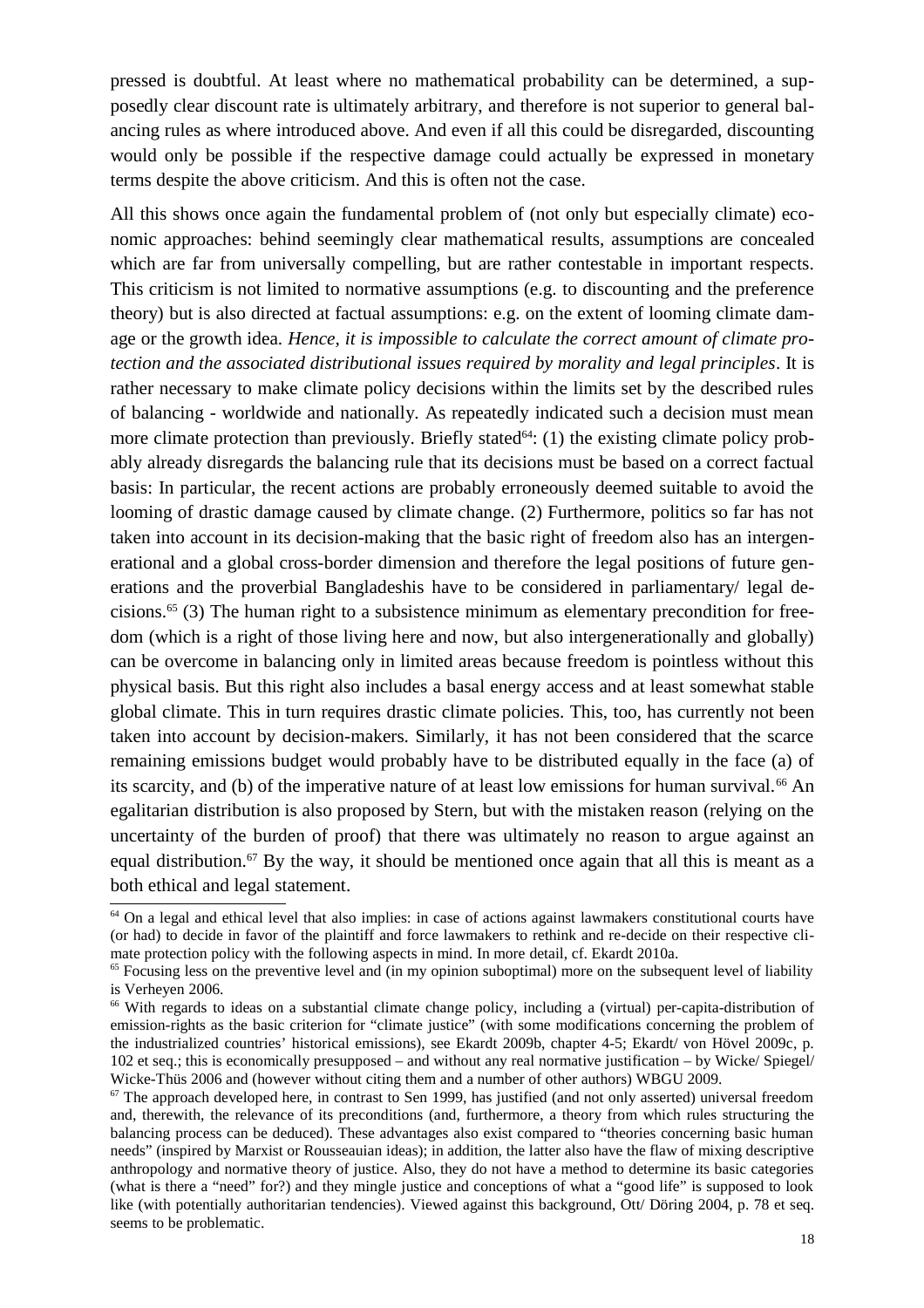pressed is doubtful. At least where no mathematical probability can be determined, a supposedly clear discount rate is ultimately arbitrary, and therefore is not superior to general balancing rules as where introduced above. And even if all this could be disregarded, discounting would only be possible if the respective damage could actually be expressed in monetary terms despite the above criticism. And this is often not the case.

All this shows once again the fundamental problem of (not only but especially climate) economic approaches: behind seemingly clear mathematical results, assumptions are concealed which are far from universally compelling, but are rather contestable in important respects. This criticism is not limited to normative assumptions (e.g. to discounting and the preference theory) but is also directed at factual assumptions: e.g. on the extent of looming climate damage or the growth idea. *Hence, it is impossible to calculate the correct amount of climate protection and the associated distributional issues required by morality and legal principles*. It is rather necessary to make climate policy decisions within the limits set by the described rules of balancing - worldwide and nationally. As repeatedly indicated such a decision must mean more climate protection than previously. Briefly stated<sup> $64$ </sup>: (1) the existing climate policy probably already disregards the balancing rule that its decisions must be based on a correct factual basis: In particular, the recent actions are probably erroneously deemed suitable to avoid the looming of drastic damage caused by climate change. (2) Furthermore, politics so far has not taken into account in its decision-making that the basic right of freedom also has an intergenerational and a global cross-border dimension and therefore the legal positions of future generations and the proverbial Bangladeshis have to be considered in parliamentary/ legal decisions.65 (3) The human right to a subsistence minimum as elementary precondition for freedom (which is a right of those living here and now, but also intergenerationally and globally) can be overcome in balancing only in limited areas because freedom is pointless without this physical basis. But this right also includes a basal energy access and at least somewhat stable global climate. This in turn requires drastic climate policies. This, too, has currently not been taken into account by decision-makers. Similarly, it has not been considered that the scarce remaining emissions budget would probably have to be distributed equally in the face (a) of its scarcity, and (b) of the imperative nature of at least low emissions for human survival.<sup>66</sup> An egalitarian distribution is also proposed by Stern, but with the mistaken reason (relying on the uncertainty of the burden of proof) that there was ultimately no reason to argue against an equal distribution.<sup>67</sup> By the way, it should be mentioned once again that all this is meant as a both ethical and legal statement.

<sup>&</sup>lt;sup>64</sup> On a legal and ethical level that also implies: in case of actions against lawmakers constitutional courts have (or had) to decide in favor of the plaintiff and force lawmakers to rethink and re-decide on their respective climate protection policy with the following aspects in mind. In more detail, cf. Ekardt 2010a.

 $<sup>65</sup>$  Focusing less on the preventive level and (in my opinion suboptimal) more on the subsequent level of liability</sup> is Verheyen 2006.

<sup>66</sup> With regards to ideas on a substantial climate change policy, including a (virtual) per-capita-distribution of emission-rights as the basic criterion for "climate justice" (with some modifications concerning the problem of the industrialized countries' historical emissions), see Ekardt 2009b, chapter 4-5; Ekardt/ von Hövel 2009c, p. 102 et seq.; this is economically presupposed – and without any real normative justification – by Wicke/ Spiegel/ Wicke-Thüs 2006 and (however without citing them and a number of other authors) WBGU 2009.

 $67$  The approach developed here, in contrast to Sen 1999, has justified (and not only asserted) universal freedom and, therewith, the relevance of its preconditions (and, furthermore, a theory from which rules structuring the balancing process can be deduced). These advantages also exist compared to "theories concerning basic human needs" (inspired by Marxist or Rousseauian ideas); in addition, the latter also have the flaw of mixing descriptive anthropology and normative theory of justice. Also, they do not have a method to determine its basic categories (what is there a "need" for?) and they mingle justice and conceptions of what a "good life" is supposed to look like (with potentially authoritarian tendencies). Viewed against this background, Ott/ Döring 2004, p. 78 et seq. seems to be problematic.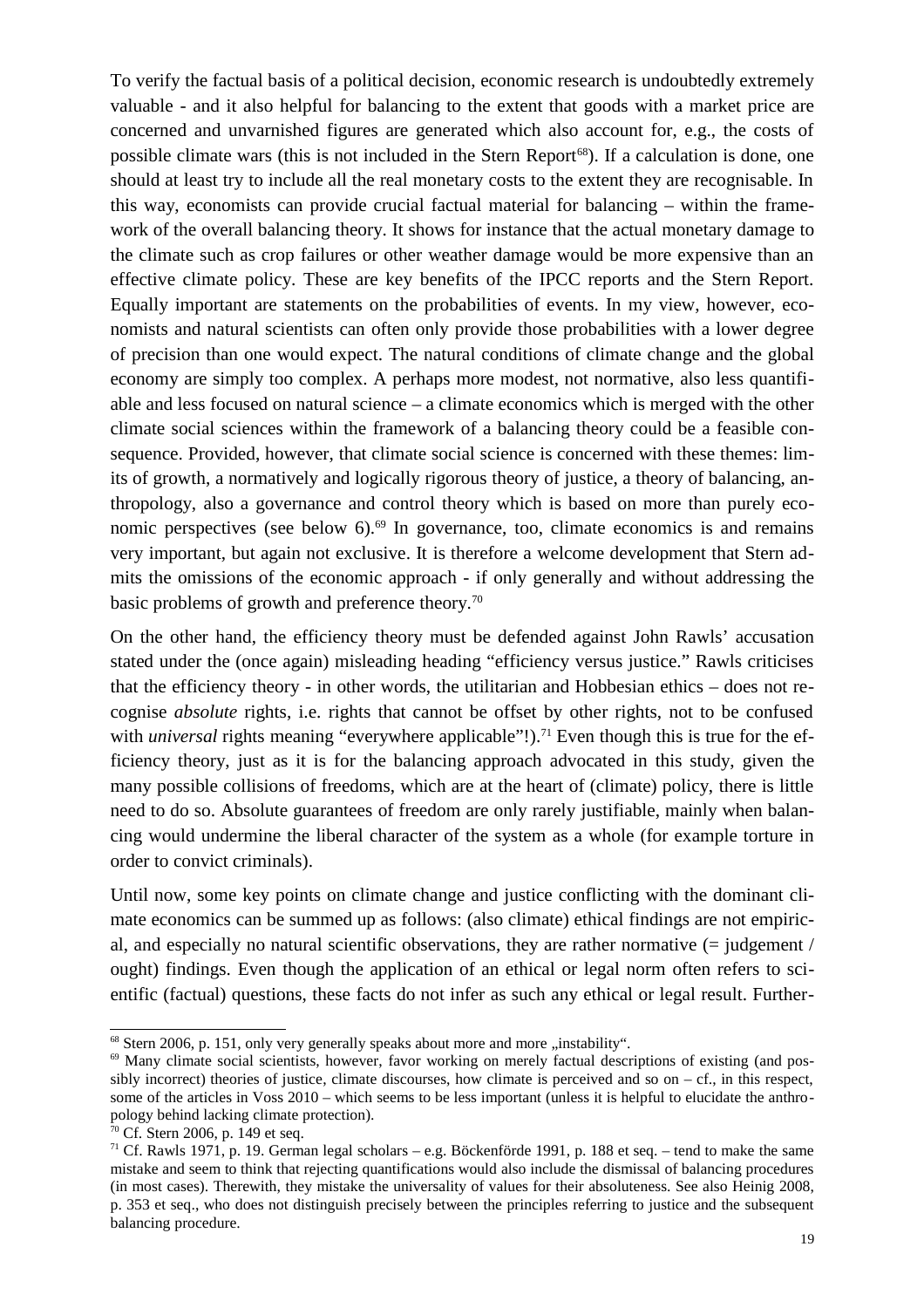To verify the factual basis of a political decision, economic research is undoubtedly extremely valuable - and it also helpful for balancing to the extent that goods with a market price are concerned and unvarnished figures are generated which also account for, e.g., the costs of possible climate wars (this is not included in the Stern Report<sup>68</sup>). If a calculation is done, one should at least try to include all the real monetary costs to the extent they are recognisable. In this way, economists can provide crucial factual material for balancing – within the framework of the overall balancing theory. It shows for instance that the actual monetary damage to the climate such as crop failures or other weather damage would be more expensive than an effective climate policy. These are key benefits of the IPCC reports and the Stern Report. Equally important are statements on the probabilities of events. In my view, however, economists and natural scientists can often only provide those probabilities with a lower degree of precision than one would expect. The natural conditions of climate change and the global economy are simply too complex. A perhaps more modest, not normative, also less quantifiable and less focused on natural science – a climate economics which is merged with the other climate social sciences within the framework of a balancing theory could be a feasible consequence. Provided, however, that climate social science is concerned with these themes: limits of growth, a normatively and logically rigorous theory of justice, a theory of balancing, anthropology, also a governance and control theory which is based on more than purely economic perspectives (see below  $6$ ).<sup>69</sup> In governance, too, climate economics is and remains very important, but again not exclusive. It is therefore a welcome development that Stern admits the omissions of the economic approach - if only generally and without addressing the basic problems of growth and preference theory.<sup>70</sup>

On the other hand, the efficiency theory must be defended against John Rawls' accusation stated under the (once again) misleading heading "efficiency versus justice." Rawls criticises that the efficiency theory - in other words, the utilitarian and Hobbesian ethics – does not recognise *absolute* rights, i.e. rights that cannot be offset by other rights, not to be confused with *universal* rights meaning "everywhere applicable"!).<sup>71</sup> Even though this is true for the efficiency theory, just as it is for the balancing approach advocated in this study, given the many possible collisions of freedoms, which are at the heart of (climate) policy, there is little need to do so. Absolute guarantees of freedom are only rarely justifiable, mainly when balancing would undermine the liberal character of the system as a whole (for example torture in order to convict criminals).

Until now, some key points on climate change and justice conflicting with the dominant climate economics can be summed up as follows: (also climate) ethical findings are not empirical, and especially no natural scientific observations, they are rather normative  $(=$  judgement  $/$ ought) findings. Even though the application of an ethical or legal norm often refers to scientific (factual) questions, these facts do not infer as such any ethical or legal result. Further-

 $68$  Stern 2006, p. 151, only very generally speaks about more and more "instability".

<sup>69</sup> Many climate social scientists, however, favor working on merely factual descriptions of existing (and possibly incorrect) theories of justice, climate discourses, how climate is perceived and so on – cf., in this respect, some of the articles in Voss 2010 – which seems to be less important (unless it is helpful to elucidate the anthropology behind lacking climate protection).

<sup>70</sup> Cf. Stern 2006, p. 149 et seq.

<sup>71</sup> Cf. Rawls 1971, p. 19. German legal scholars – e.g. Böckenförde 1991, p. 188 et seq. – tend to make the same mistake and seem to think that rejecting quantifications would also include the dismissal of balancing procedures (in most cases). Therewith, they mistake the universality of values for their absoluteness. See also Heinig 2008, p. 353 et seq., who does not distinguish precisely between the principles referring to justice and the subsequent balancing procedure.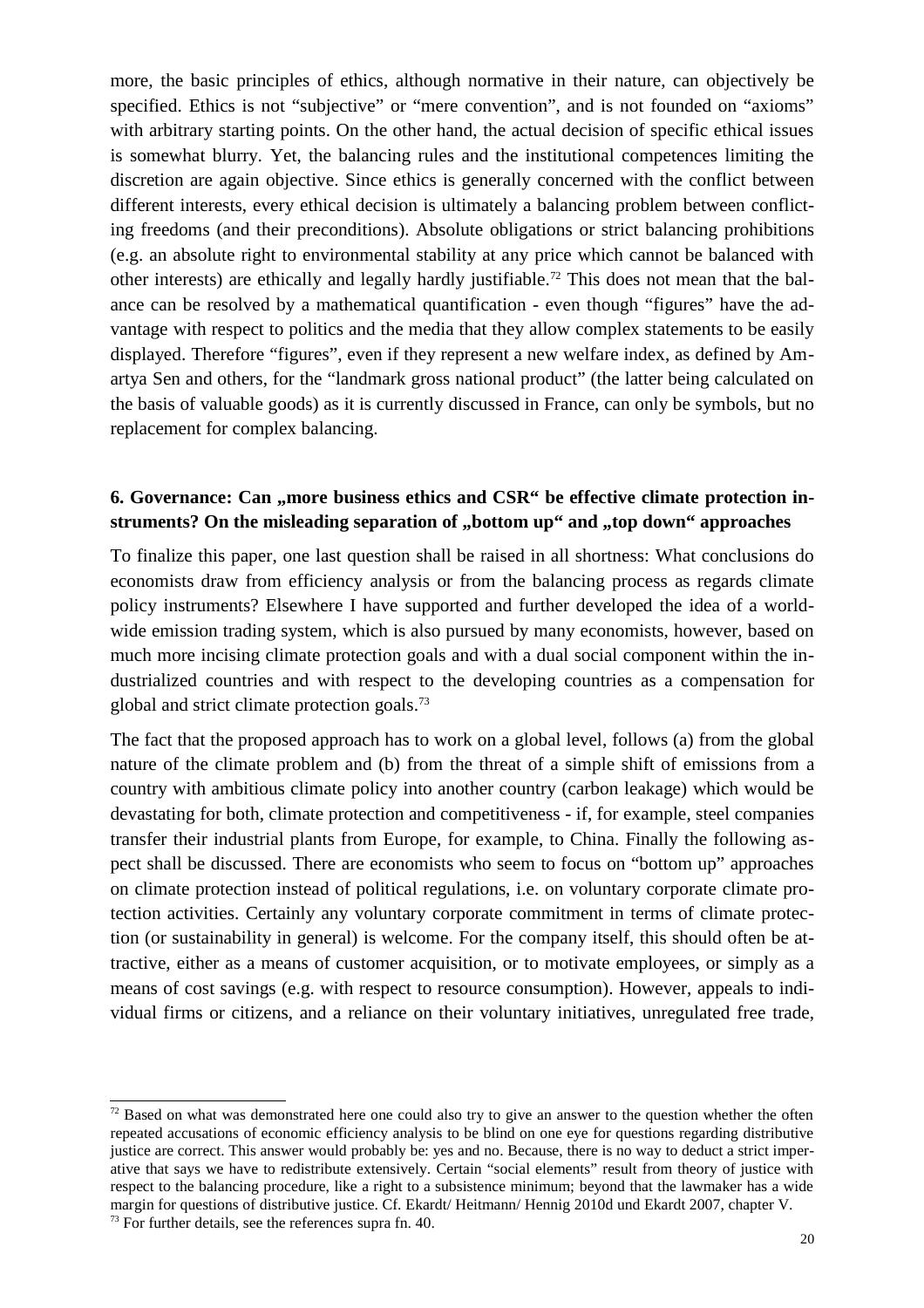more, the basic principles of ethics, although normative in their nature, can objectively be specified. Ethics is not "subjective" or "mere convention", and is not founded on "axioms" with arbitrary starting points. On the other hand, the actual decision of specific ethical issues is somewhat blurry. Yet, the balancing rules and the institutional competences limiting the discretion are again objective. Since ethics is generally concerned with the conflict between different interests, every ethical decision is ultimately a balancing problem between conflicting freedoms (and their preconditions). Absolute obligations or strict balancing prohibitions (e.g. an absolute right to environmental stability at any price which cannot be balanced with other interests) are ethically and legally hardly justifiable.72 This does not mean that the balance can be resolved by a mathematical quantification - even though "figures" have the advantage with respect to politics and the media that they allow complex statements to be easily displayed. Therefore "figures", even if they represent a new welfare index, as defined by Amartya Sen and others, for the "landmark gross national product" (the latter being calculated on the basis of valuable goods) as it is currently discussed in France, can only be symbols, but no replacement for complex balancing.

### **6. Governance: Can , more business ethics and CSR" be effective climate protection in**struments? On the misleading separation of "bottom up" and "top down" approaches

To finalize this paper, one last question shall be raised in all shortness: What conclusions do economists draw from efficiency analysis or from the balancing process as regards climate policy instruments? Elsewhere I have supported and further developed the idea of a worldwide emission trading system, which is also pursued by many economists, however, based on much more incising climate protection goals and with a dual social component within the industrialized countries and with respect to the developing countries as a compensation for global and strict climate protection goals.<sup>73</sup>

The fact that the proposed approach has to work on a global level, follows (a) from the global nature of the climate problem and (b) from the threat of a simple shift of emissions from a country with ambitious climate policy into another country (carbon leakage) which would be devastating for both, climate protection and competitiveness - if, for example, steel companies transfer their industrial plants from Europe, for example, to China. Finally the following aspect shall be discussed. There are economists who seem to focus on "bottom up" approaches on climate protection instead of political regulations, i.e. on voluntary corporate climate protection activities. Certainly any voluntary corporate commitment in terms of climate protection (or sustainability in general) is welcome. For the company itself, this should often be attractive, either as a means of customer acquisition, or to motivate employees, or simply as a means of cost savings (e.g. with respect to resource consumption). However, appeals to individual firms or citizens, and a reliance on their voluntary initiatives, unregulated free trade,

 $72$  Based on what was demonstrated here one could also try to give an answer to the question whether the often repeated accusations of economic efficiency analysis to be blind on one eye for questions regarding distributive justice are correct. This answer would probably be: yes and no. Because, there is no way to deduct a strict imperative that says we have to redistribute extensively. Certain "social elements" result from theory of justice with respect to the balancing procedure, like a right to a subsistence minimum; beyond that the lawmaker has a wide margin for questions of distributive justice. Cf. Ekardt/ Heitmann/ Hennig 2010d und Ekardt 2007, chapter V.  $73$  For further details, see the references supra fn. 40.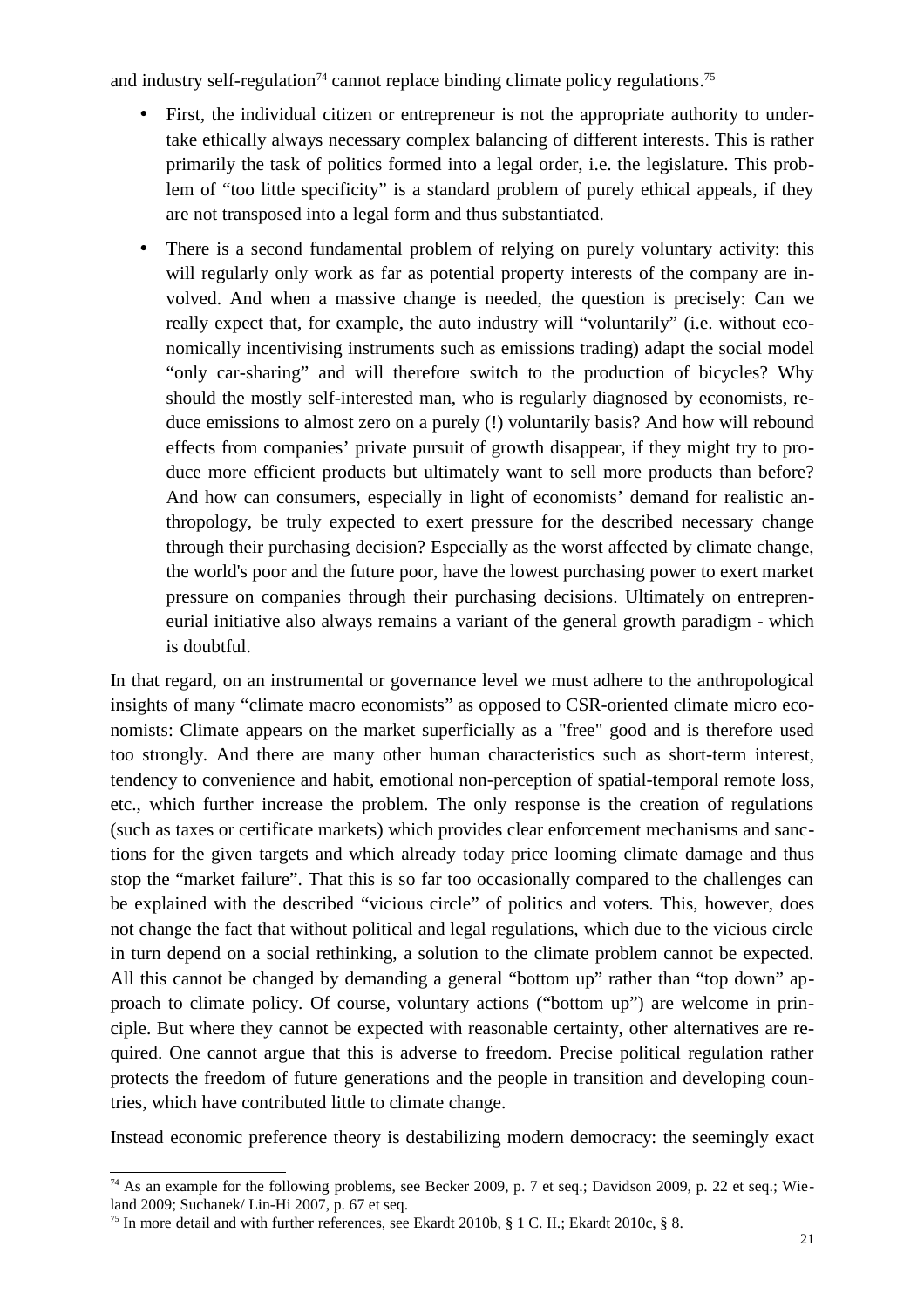and industry self-regulation<sup> $74$ </sup> cannot replace binding climate policy regulations.<sup>75</sup>

- First, the individual citizen or entrepreneur is not the appropriate authority to undertake ethically always necessary complex balancing of different interests. This is rather primarily the task of politics formed into a legal order, i.e. the legislature. This problem of "too little specificity" is a standard problem of purely ethical appeals, if they are not transposed into a legal form and thus substantiated.
- There is a second fundamental problem of relying on purely voluntary activity: this will regularly only work as far as potential property interests of the company are involved. And when a massive change is needed, the question is precisely: Can we really expect that, for example, the auto industry will "voluntarily" (i.e. without economically incentivising instruments such as emissions trading) adapt the social model "only car-sharing" and will therefore switch to the production of bicycles? Why should the mostly self-interested man, who is regularly diagnosed by economists, reduce emissions to almost zero on a purely (!) voluntarily basis? And how will rebound effects from companies' private pursuit of growth disappear, if they might try to produce more efficient products but ultimately want to sell more products than before? And how can consumers, especially in light of economists' demand for realistic anthropology, be truly expected to exert pressure for the described necessary change through their purchasing decision? Especially as the worst affected by climate change, the world's poor and the future poor, have the lowest purchasing power to exert market pressure on companies through their purchasing decisions. Ultimately on entrepreneurial initiative also always remains a variant of the general growth paradigm - which is doubtful.

In that regard, on an instrumental or governance level we must adhere to the anthropological insights of many "climate macro economists" as opposed to CSR-oriented climate micro economists: Climate appears on the market superficially as a "free" good and is therefore used too strongly. And there are many other human characteristics such as short-term interest, tendency to convenience and habit, emotional non-perception of spatial-temporal remote loss, etc., which further increase the problem. The only response is the creation of regulations (such as taxes or certificate markets) which provides clear enforcement mechanisms and sanctions for the given targets and which already today price looming climate damage and thus stop the "market failure". That this is so far too occasionally compared to the challenges can be explained with the described "vicious circle" of politics and voters. This, however, does not change the fact that without political and legal regulations, which due to the vicious circle in turn depend on a social rethinking, a solution to the climate problem cannot be expected. All this cannot be changed by demanding a general "bottom up" rather than "top down" approach to climate policy. Of course, voluntary actions ("bottom up") are welcome in principle. But where they cannot be expected with reasonable certainty, other alternatives are required. One cannot argue that this is adverse to freedom. Precise political regulation rather protects the freedom of future generations and the people in transition and developing countries, which have contributed little to climate change.

Instead economic preference theory is destabilizing modern democracy: the seemingly exact

<sup>&</sup>lt;sup>74</sup> As an example for the following problems, see Becker 2009, p. 7 et seq.; Davidson 2009, p. 22 et seq.; Wieland 2009; Suchanek/ Lin-Hi 2007, p. 67 et seq.

<sup>75</sup> In more detail and with further references, see Ekardt 2010b, § 1 C. II.; Ekardt 2010c, § 8.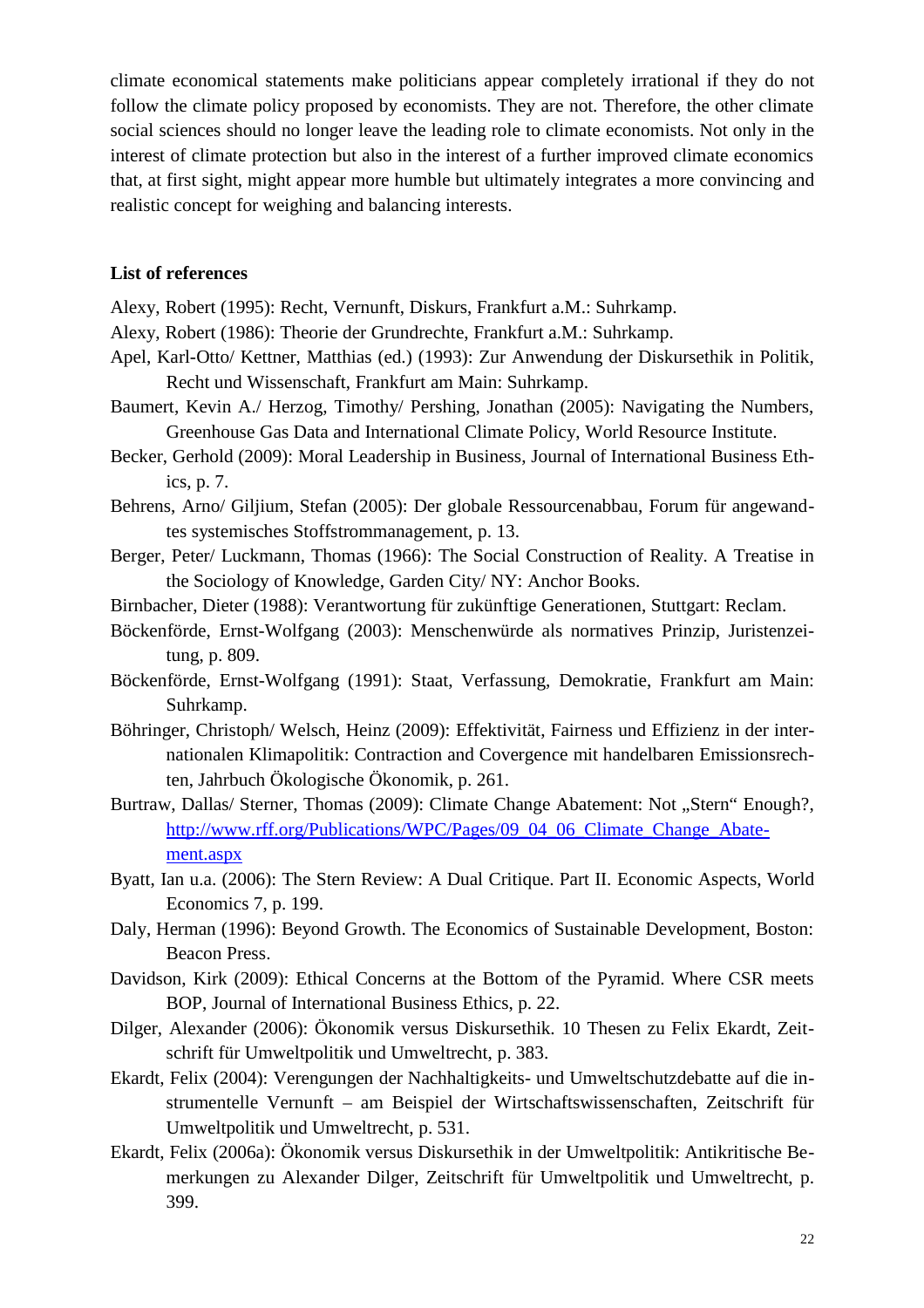climate economical statements make politicians appear completely irrational if they do not follow the climate policy proposed by economists. They are not. Therefore, the other climate social sciences should no longer leave the leading role to climate economists. Not only in the interest of climate protection but also in the interest of a further improved climate economics that, at first sight, might appear more humble but ultimately integrates a more convincing and realistic concept for weighing and balancing interests.

#### **List of references**

Alexy, Robert (1995): Recht, Vernunft, Diskurs, Frankfurt a.M.: Suhrkamp.

Alexy, Robert (1986): Theorie der Grundrechte, Frankfurt a.M.: Suhrkamp.

- Apel, Karl-Otto/ Kettner, Matthias (ed.) (1993): Zur Anwendung der Diskursethik in Politik, Recht und Wissenschaft, Frankfurt am Main: Suhrkamp.
- Baumert, Kevin A./ Herzog, Timothy/ Pershing, Jonathan (2005): Navigating the Numbers, Greenhouse Gas Data and International Climate Policy, World Resource Institute.
- Becker, Gerhold (2009): Moral Leadership in Business, Journal of International Business Ethics, p. 7.
- Behrens, Arno/ Giljium, Stefan (2005): Der globale Ressourcenabbau, Forum für angewandtes systemisches Stoffstrommanagement, p. 13.
- Berger, Peter/ Luckmann, Thomas (1966): The Social Construction of Reality. A Treatise in the Sociology of Knowledge, Garden City/ NY: Anchor Books.
- Birnbacher, Dieter (1988): Verantwortung für zukünftige Generationen, Stuttgart: Reclam.
- Böckenförde, Ernst-Wolfgang (2003): Menschenwürde als normatives Prinzip, Juristenzeitung, p. 809.
- Böckenförde, Ernst-Wolfgang (1991): Staat, Verfassung, Demokratie, Frankfurt am Main: Suhrkamp.
- Böhringer, Christoph/ Welsch, Heinz (2009): Effektivität, Fairness und Effizienz in der internationalen Klimapolitik: Contraction and Covergence mit handelbaren Emissionsrechten, Jahrbuch Ökologische Ökonomik, p. 261.
- Burtraw, Dallas/ Sterner, Thomas (2009): Climate Change Abatement: Not "Stern" Enough?, http://www.rff.org/Publications/WPC/Pages/09\_04\_06\_Climate\_Change\_Abatement.aspx
- Byatt, Ian u.a. (2006): The Stern Review: A Dual Critique. Part II. Economic Aspects, World Economics 7, p. 199.
- Daly, Herman (1996): Beyond Growth. The Economics of Sustainable Development, Boston: Beacon Press.
- Davidson, Kirk (2009): Ethical Concerns at the Bottom of the Pyramid. Where CSR meets BOP, Journal of International Business Ethics, p. 22.
- Dilger, Alexander (2006): Ökonomik versus Diskursethik. 10 Thesen zu Felix Ekardt, Zeitschrift für Umweltpolitik und Umweltrecht, p. 383.
- Ekardt, Felix (2004): Verengungen der Nachhaltigkeits- und Umweltschutzdebatte auf die instrumentelle Vernunft – am Beispiel der Wirtschaftswissenschaften, Zeitschrift für Umweltpolitik und Umweltrecht, p. 531.
- Ekardt, Felix (2006a): Ökonomik versus Diskursethik in der Umweltpolitik: Antikritische Bemerkungen zu Alexander Dilger, Zeitschrift für Umweltpolitik und Umweltrecht, p. 399.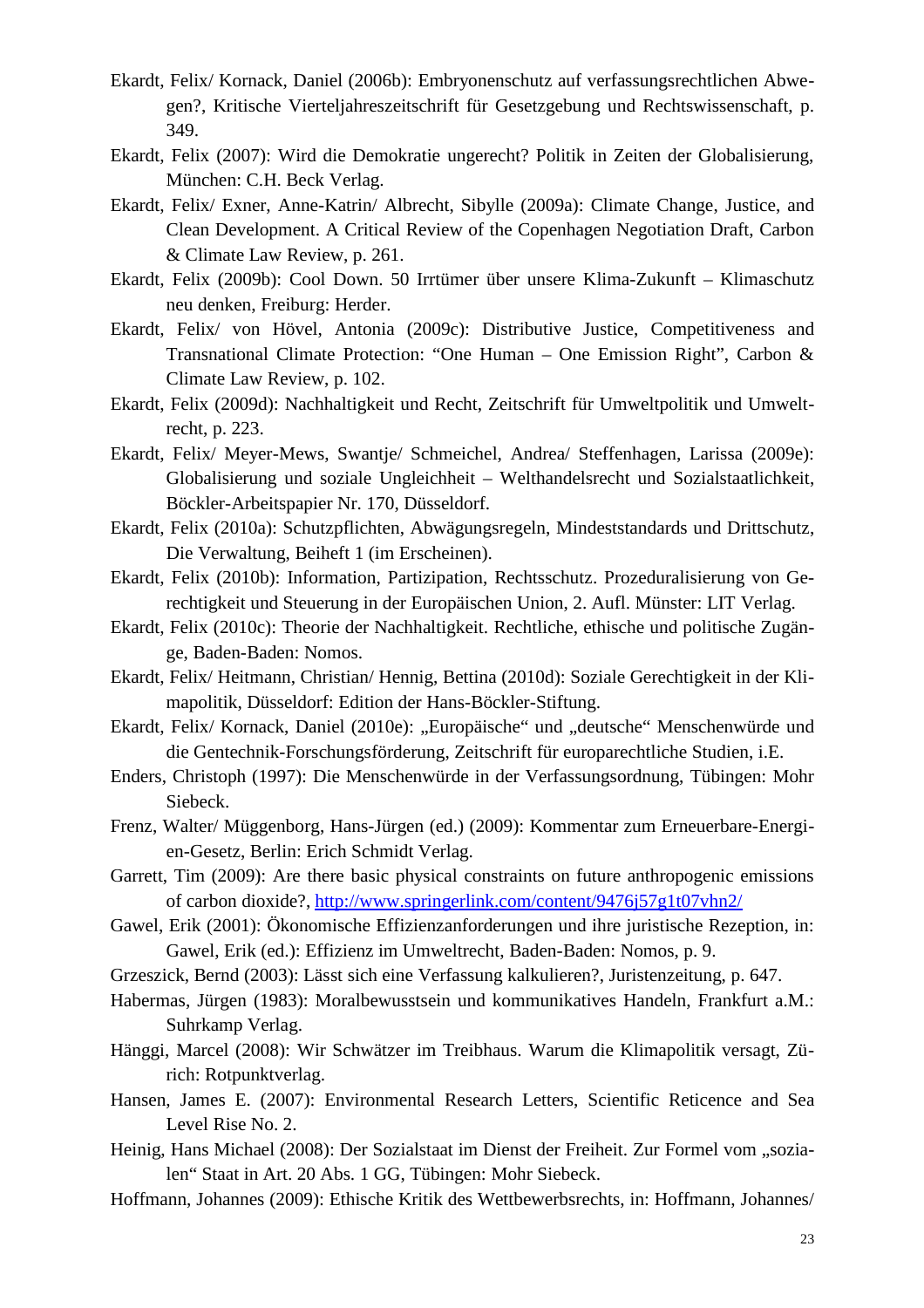- Ekardt, Felix/ Kornack, Daniel (2006b): Embryonenschutz auf verfassungsrechtlichen Abwegen?, Kritische Vierteljahreszeitschrift für Gesetzgebung und Rechtswissenschaft, p. 349.
- Ekardt, Felix (2007): Wird die Demokratie ungerecht? Politik in Zeiten der Globalisierung, München: C.H. Beck Verlag.
- Ekardt, Felix/ Exner, Anne-Katrin/ Albrecht, Sibylle (2009a): Climate Change, Justice, and Clean Development. A Critical Review of the Copenhagen Negotiation Draft, Carbon & Climate Law Review, p. 261.
- Ekardt, Felix (2009b): Cool Down. 50 Irrtümer über unsere Klima-Zukunft Klimaschutz neu denken, Freiburg: Herder.
- Ekardt, Felix/ von Hövel, Antonia (2009c): Distributive Justice, Competitiveness and Transnational Climate Protection: "One Human – One Emission Right", Carbon & Climate Law Review, p. 102.
- Ekardt, Felix (2009d): Nachhaltigkeit und Recht, Zeitschrift für Umweltpolitik und Umweltrecht, p. 223.
- Ekardt, Felix/ Meyer-Mews, Swantje/ Schmeichel, Andrea/ Steffenhagen, Larissa (2009e): Globalisierung und soziale Ungleichheit – Welthandelsrecht und Sozialstaatlichkeit, Böckler-Arbeitspapier Nr. 170, Düsseldorf.
- Ekardt, Felix (2010a): Schutzpflichten, Abwägungsregeln, Mindeststandards und Drittschutz, Die Verwaltung, Beiheft 1 (im Erscheinen).
- Ekardt, Felix (2010b): Information, Partizipation, Rechtsschutz. Prozeduralisierung von Gerechtigkeit und Steuerung in der Europäischen Union, 2. Aufl. Münster: LIT Verlag.
- Ekardt, Felix (2010c): Theorie der Nachhaltigkeit. Rechtliche, ethische und politische Zugänge, Baden-Baden: Nomos.
- Ekardt, Felix/ Heitmann, Christian/ Hennig, Bettina (2010d): Soziale Gerechtigkeit in der Klimapolitik, Düsseldorf: Edition der Hans-Böckler-Stiftung.
- Ekardt, Felix/ Kornack, Daniel (2010e): "Europäische" und "deutsche" Menschenwürde und die Gentechnik-Forschungsförderung, Zeitschrift für europarechtliche Studien, i.E.
- Enders, Christoph (1997): Die Menschenwürde in der Verfassungsordnung, Tübingen: Mohr Siebeck.
- Frenz, Walter/ Müggenborg, Hans-Jürgen (ed.) (2009): Kommentar zum Erneuerbare-Energien-Gesetz, Berlin: Erich Schmidt Verlag.
- Garrett, Tim (2009): Are there basic physical constraints on future anthropogenic emissions of carbon dioxide?, http://www.springerlink.com/content/9476j57g1t07vhn2/
- Gawel, Erik (2001): Ökonomische Effizienzanforderungen und ihre juristische Rezeption, in: Gawel, Erik (ed.): Effizienz im Umweltrecht, Baden-Baden: Nomos, p. 9.
- Grzeszick, Bernd (2003): Lässt sich eine Verfassung kalkulieren?, Juristenzeitung, p. 647.
- Habermas, Jürgen (1983): Moralbewusstsein und kommunikatives Handeln, Frankfurt a.M.: Suhrkamp Verlag.
- Hänggi, Marcel (2008): Wir Schwätzer im Treibhaus. Warum die Klimapolitik versagt, Zürich: Rotpunktverlag.
- Hansen, James E. (2007): Environmental Research Letters, Scientific Reticence and Sea Level Rise No. 2.
- Heinig, Hans Michael (2008): Der Sozialstaat im Dienst der Freiheit. Zur Formel vom "sozialen" Staat in Art. 20 Abs. 1 GG, Tübingen: Mohr Siebeck.
- Hoffmann, Johannes (2009): Ethische Kritik des Wettbewerbsrechts, in: Hoffmann, Johannes/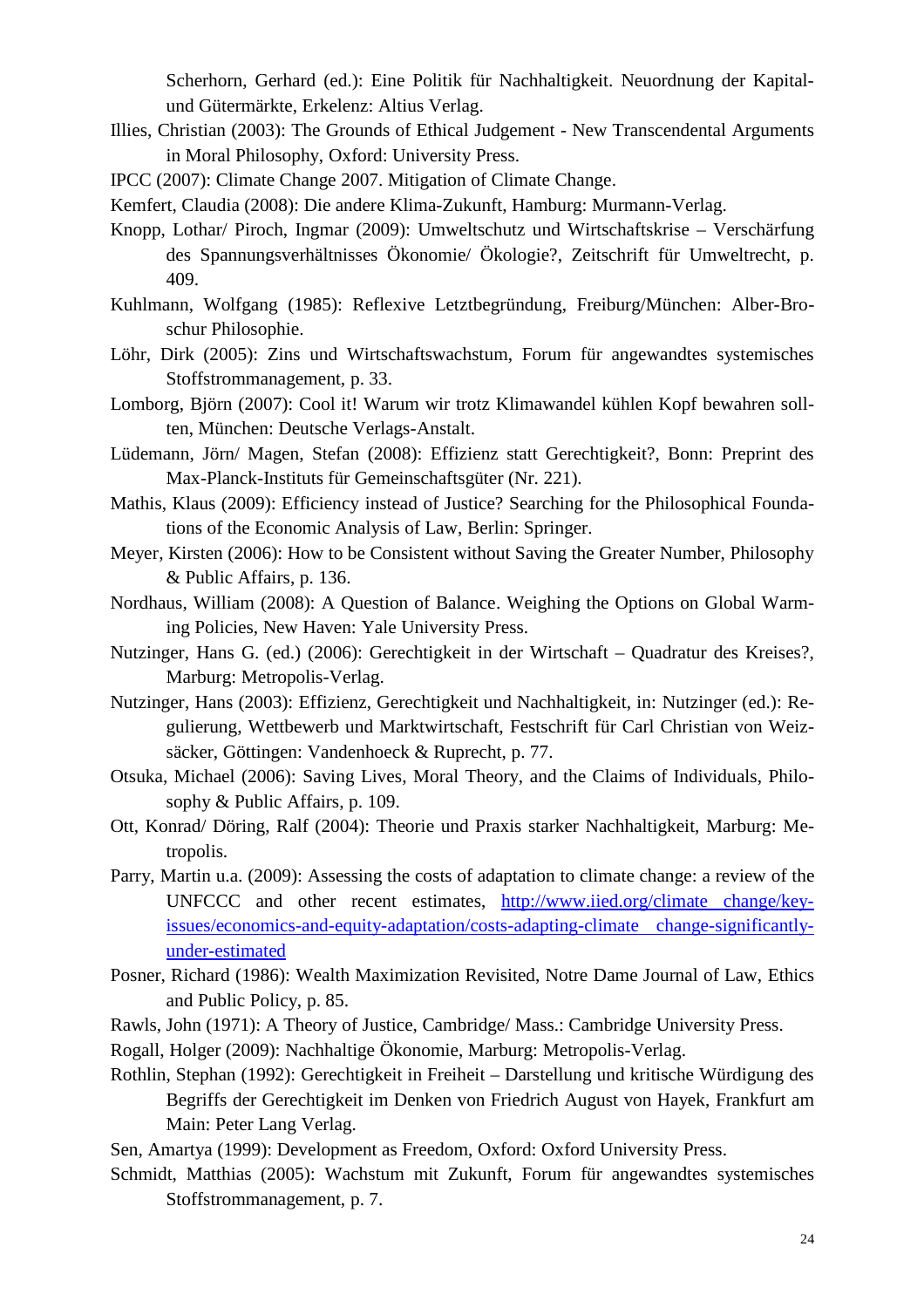Scherhorn, Gerhard (ed.): Eine Politik für Nachhaltigkeit. Neuordnung der Kapitalund Gütermärkte, Erkelenz: Altius Verlag.

- Illies, Christian (2003): The Grounds of Ethical Judgement New Transcendental Arguments in Moral Philosophy, Oxford: University Press.
- IPCC (2007): Climate Change 2007. Mitigation of Climate Change.

Kemfert, Claudia (2008): Die andere Klima-Zukunft, Hamburg: Murmann-Verlag.

- Knopp, Lothar/ Piroch, Ingmar (2009): Umweltschutz und Wirtschaftskrise Verschärfung des Spannungsverhältnisses Ökonomie/ Ökologie?, Zeitschrift für Umweltrecht, p. 409.
- Kuhlmann, Wolfgang (1985): Reflexive Letztbegründung, Freiburg/München: Alber-Broschur Philosophie.
- Löhr, Dirk (2005): Zins und Wirtschaftswachstum, Forum für angewandtes systemisches Stoffstrommanagement, p. 33.
- Lomborg, Björn (2007): Cool it! Warum wir trotz Klimawandel kühlen Kopf bewahren sollten, München: Deutsche Verlags-Anstalt.
- Lüdemann, Jörn/ Magen, Stefan (2008): Effizienz statt Gerechtigkeit?, Bonn: Preprint des Max-Planck-Instituts für Gemeinschaftsgüter (Nr. 221).
- Mathis, Klaus (2009): Efficiency instead of Justice? Searching for the Philosophical Foundations of the Economic Analysis of Law, Berlin: Springer.
- Meyer, Kirsten (2006): How to be Consistent without Saving the Greater Number, Philosophy & Public Affairs, p. 136.
- Nordhaus, William (2008): A Question of Balance. Weighing the Options on Global Warming Policies, New Haven: Yale University Press.
- Nutzinger, Hans G. (ed.) (2006): Gerechtigkeit in der Wirtschaft Quadratur des Kreises?, Marburg: Metropolis-Verlag.
- Nutzinger, Hans (2003): Effizienz, Gerechtigkeit und Nachhaltigkeit, in: Nutzinger (ed.): Regulierung, Wettbewerb und Marktwirtschaft, Festschrift für Carl Christian von Weizsäcker, Göttingen: Vandenhoeck & Ruprecht, p. 77.
- Otsuka, Michael (2006): Saving Lives, Moral Theory, and the Claims of Individuals, Philosophy & Public Affairs, p. 109.
- Ott, Konrad/ Döring, Ralf (2004): Theorie und Praxis starker Nachhaltigkeit, Marburg: Metropolis.
- Parry, Martin u.a. (2009): Assessing the costs of adaptation to climate change: a review of the UNFCCC and other recent estimates, http://www.iied.org/climate change/keyissues/economics-and-equity-adaptation/costs-adapting-climate change-significantlyunder-estimated
- Posner, Richard (1986): Wealth Maximization Revisited, Notre Dame Journal of Law, Ethics and Public Policy, p. 85.
- Rawls, John (1971): A Theory of Justice, Cambridge/ Mass.: Cambridge University Press.
- Rogall, Holger (2009): Nachhaltige Ökonomie, Marburg: Metropolis-Verlag.
- Rothlin, Stephan (1992): Gerechtigkeit in Freiheit Darstellung und kritische Würdigung des Begriffs der Gerechtigkeit im Denken von Friedrich August von Hayek, Frankfurt am Main: Peter Lang Verlag.
- Sen, Amartya (1999): Development as Freedom, Oxford: Oxford University Press.
- Schmidt, Matthias (2005): Wachstum mit Zukunft, Forum für angewandtes systemisches Stoffstrommanagement, p. 7.